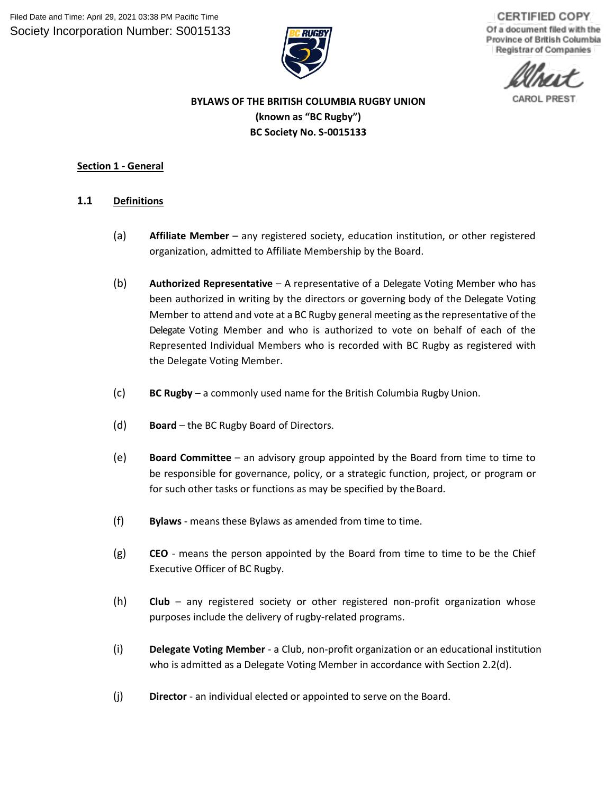

**CERTIFIED COPY** Of a document filed with the Province of British Columbia Registrar of Companies

# **BYLAWS OF THE BRITISH COLUMBIA RUGBY UNION (known as "BC Rugby") BC Society No. S-0015133**

# **Section 1 - General**

- <span id="page-0-0"></span>**1.1 Definitions**
	- (a) **Affiliate Member**  any registered society, education institution, or other registered organization, admitted to Affiliate Membership by the Board.
	- (b) **Authorized Representative** A representative of a Delegate Voting Member who has been authorized in writing by the directors or governing body of the Delegate Voting Member to attend and vote at a BC Rugby general meeting asthe representative of the Delegate Voting Member and who is authorized to vote on behalf of each of the Represented Individual Members who is recorded with BC Rugby as registered with the Delegate Voting Member.
	- (c) **BC Rugby**  a commonly used name for the British Columbia RugbyUnion.
	- (d) **Board**  the BC Rugby Board of Directors.
	- (e) **Board Committee**  an advisory group appointed by the Board from time to time to be responsible for governance, policy, or a strategic function, project, or program or for such other tasks or functions as may be specified by the Board.
	- (f) **Bylaws**  means these Bylaws as amended from time to time.
	- (g) **CEO** means the person appointed by the Board from time to time to be the Chief Executive Officer of BC Rugby.
	- (h) **Club**  any registered society or other registered non-profit organization whose purposes include the delivery of rugby-related programs.
	- (i) **Delegate Voting Member**  a Club, non-profit organization or an educational institution who is admitted as a Delegate Voting Member in accordance with Section 2.2(d).
	- (j) **Director**  an individual elected or appointed to serve on the Board.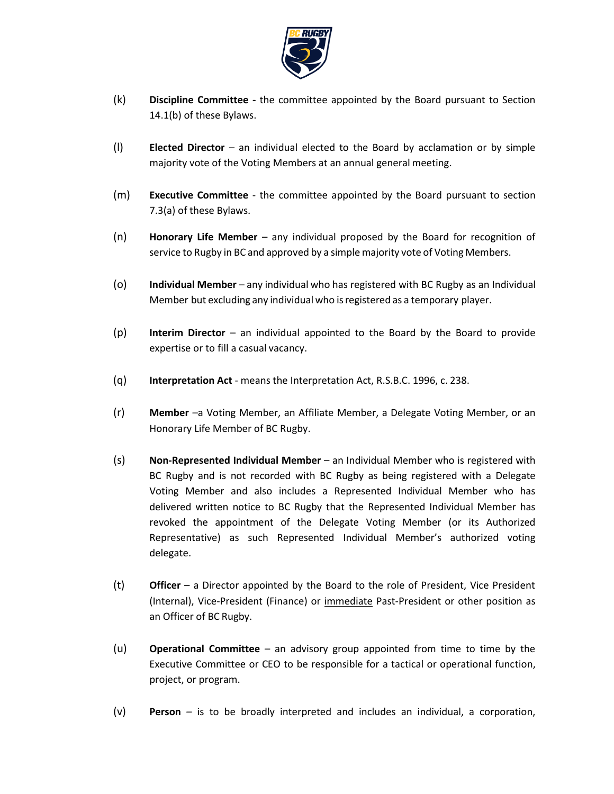

- (k) **Discipline Committee -** the committee appointed by the Board pursuant to Section 14.1(b) of these Bylaws.
- (l) **Elected Director**  an individual elected to the Board by acclamation or by simple majority vote of the Voting Members at an annual general meeting.
- (m) **Executive Committee** the committee appointed by the Board pursuant to section [7.3\(a\) o](#page-29-0)f these Bylaws.
- (n) **Honorary Life Member**  any individual proposed by the Board for recognition of service to Rugby in BC and approved by a simplemajority vote of Voting Members.
- (o) **Individual Member** any individual who has registered with BC Rugby as an Individual Member but excluding any individual who isregistered as a temporary player.
- (p) **Interim Director**  an individual appointed to the Board by the Board to provide expertise or to fill a casual vacancy.
- (q) **Interpretation Act**  means the Interpretation Act, R.S.B.C. 1996, c. 238.
- (r) **Member** –a Voting Member, an Affiliate Member, a Delegate Voting Member, or an Honorary Life Member of BC Rugby.
- (s) **Non-Represented Individual Member** an Individual Member who is registered with BC Rugby and is not recorded with BC Rugby as being registered with a Delegate Voting Member and also includes a Represented Individual Member who has delivered written notice to BC Rugby that the Represented Individual Member has revoked the appointment of the Delegate Voting Member (or its Authorized Representative) as such Represented Individual Member's authorized voting delegate.
- (t) **Officer**  a Director appointed by the Board to the role of President, Vice President (Internal), Vice-President (Finance) or immediate Past-President or other position as an Officer of BC Rugby.
- (u) **Operational Committee**  an advisory group appointed from time to time by the Executive Committee or CEO to be responsible for a tactical or operational function, project, or program.
- (v) **Person** *–* is to be broadly interpreted and includes an individual, a corporation,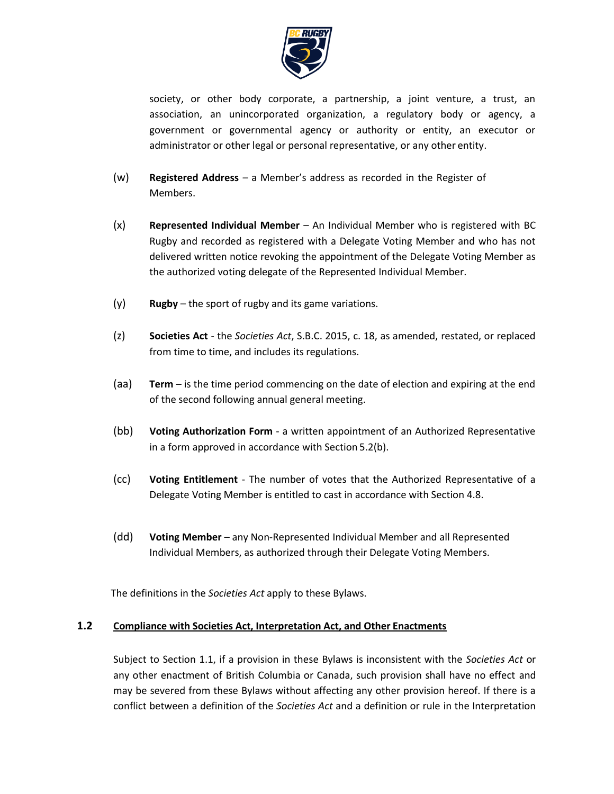

society, or other body corporate, a partnership, a joint venture, a trust, an association, an unincorporated organization, a regulatory body or agency, a government or governmental agency or authority or entity, an executor or administrator or other legal or personal representative, or any other entity.

- (w) **Registered Address** a Member's address as recorded in the Register of Members.
- (x) **Represented Individual Member** An Individual Member who is registered with BC Rugby and recorded as registered with a Delegate Voting Member and who has not delivered written notice revoking the appointment of the Delegate Voting Member as the authorized voting delegate of the Represented Individual Member.
- (y) **Rugby**  the sport of rugby and its game variations.
- (z) **Societies Act**  the *Societies Act*, S.B.C. 2015, c. 18, as amended, restated, or replaced from time to time, and includes its regulations.
- (aa) **Term** is the time period commencing on the date of election and expiring at the end of the second following annual general meeting.
- (bb) **Voting Authorization Form**  a written appointment of an Authorized Representative in a form approved in accordance with Section 5.2(b).
- (cc) **Voting Entitlement**  The number of votes that the Authorized Representative of a Delegate Voting Member is entitled to cast in accordance with Section 4.8.
- (dd) **Voting Member**  any Non-Represented Individual Member and all Represented Individual Members, as authorized through their Delegate Voting Members.

The definitions in the *Societies Act* apply to these Bylaws.

### **1.2 Compliance with Societies Act, Interpretation Act, and Other Enactments**

Subject to Section [1.1,](#page-0-0) if a provision in these Bylaws is inconsistent with the *Societies Act* or any other enactment of British Columbia or Canada, such provision shall have no effect and may be severed from these Bylaws without affecting any other provision hereof. If there is a conflict between a definition of the *Societies Act* and a definition or rule in the Interpretation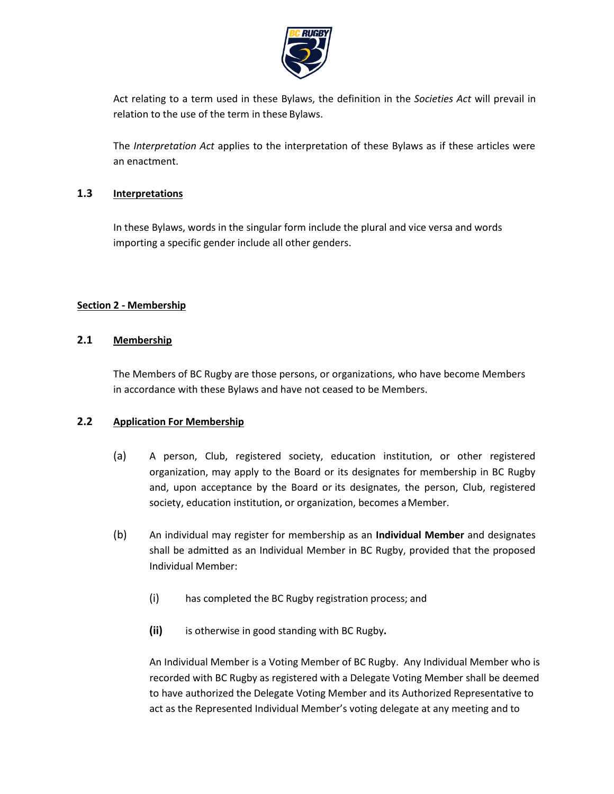

Act relating to a term used in these Bylaws, the definition in the *Societies Act* will prevail in relation to the use of the term in these Bylaws.

The *Interpretation Act* applies to the interpretation of these Bylaws as if these articles were an enactment.

# **1.3 Interpretations**

In these Bylaws, words in the singular form include the plural and vice versa and words importing a specific gender include all other genders.

### **Section 2 - Membership**

### **2.1 Membership**

The Members of BC Rugby are those persons, or organizations, who have become Members in accordance with these Bylaws and have not ceased to be Members.

#### **2.2 Application For Membership**

- (a) A person, Club, registered society, education institution, or other registered organization, may apply to the Board or its designates for membership in BC Rugby and, upon acceptance by the Board or its designates, the person, Club, registered society, education institution, or organization, becomes aMember.
- (b) An individual may register for membership as an **Individual Member** and designates shall be admitted as an Individual Member in BC Rugby, provided that the proposed Individual Member:
	- (i) has completed the BC Rugby registration process; and
	- **(ii)** is otherwise in good standing with BC Rugby**.**

An Individual Member is a Voting Member of BC Rugby. Any Individual Member who is recorded with BC Rugby as registered with a Delegate Voting Member shall be deemed to have authorized the Delegate Voting Member and its Authorized Representative to act as the Represented Individual Member's voting delegate at any meeting and to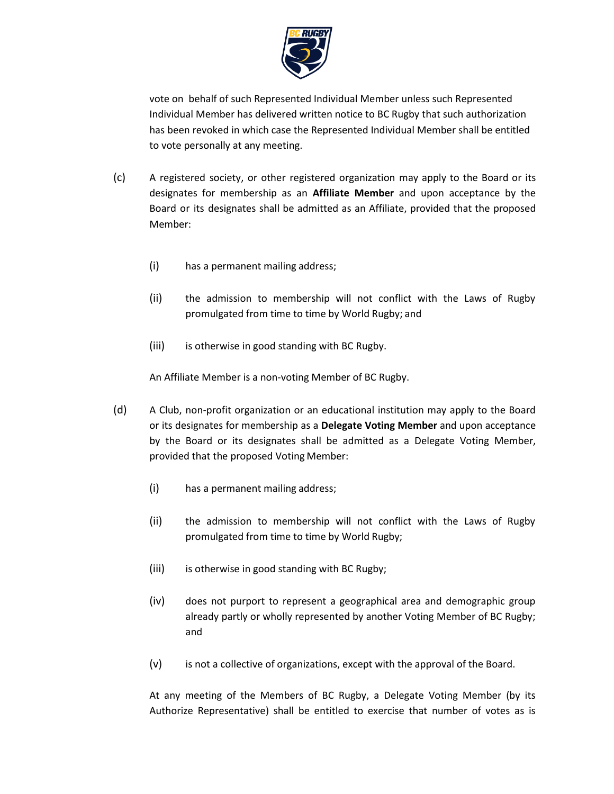

vote on behalf of such Represented Individual Member unless such Represented Individual Member has delivered written notice to BC Rugby that such authorization has been revoked in which case the Represented Individual Member shall be entitled to vote personally at any meeting.

- (c) A registered society, or other registered organization may apply to the Board or its designates for membership as an **Affiliate Member** and upon acceptance by the Board or its designates shall be admitted as an Affiliate, provided that the proposed Member:
	- (i) has a permanent mailing address;
	- (ii) the admission to membership will not conflict with the Laws of Rugby promulgated from time to time by World Rugby; and
	- (iii) is otherwise in good standing with BC Rugby.

An Affiliate Member is a non-voting Member of BC Rugby.

- (d) A Club, non-profit organization or an educational institution may apply to the Board or its designates for membership as a **Delegate Voting Member** and upon acceptance by the Board or its designates shall be admitted as a Delegate Voting Member, provided that the proposed Voting Member:
	- (i) has a permanent mailing address;
	- (ii) the admission to membership will not conflict with the Laws of Rugby promulgated from time to time by World Rugby;
	- (iii) is otherwise in good standing with BC Rugby;
	- (iv) does not purport to represent a geographical area and demographic group already partly or wholly represented by another Voting Member of BC Rugby; and
	- (v) is not a collective of organizations, except with the approval of the Board.

At any meeting of the Members of BC Rugby, a Delegate Voting Member (by its Authorize Representative) shall be entitled to exercise that number of votes as is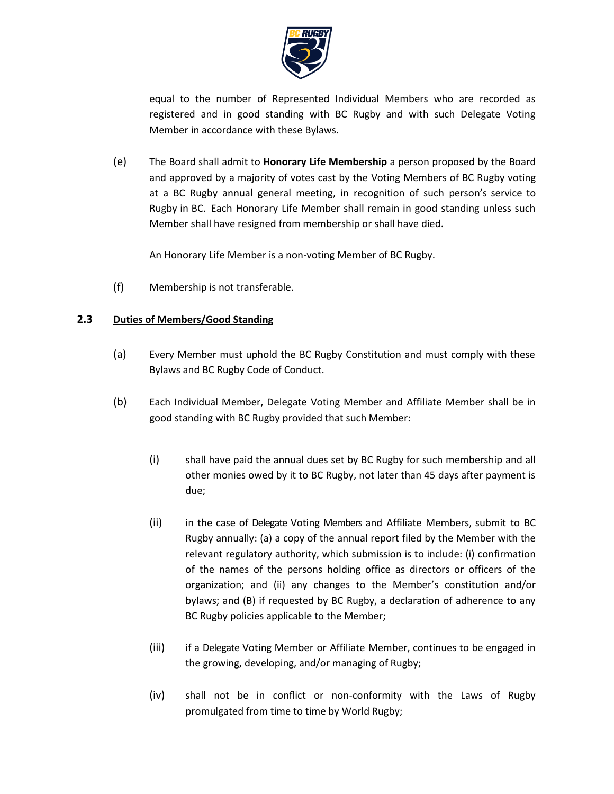

equal to the number of Represented Individual Members who are recorded as registered and in good standing with BC Rugby and with such Delegate Voting Member in accordance with these Bylaws.

(e) The Board shall admit to **Honorary Life Membership** a person proposed by the Board and approved by a majority of votes cast by the Voting Members of BC Rugby voting at a BC Rugby annual general meeting, in recognition of such person's service to Rugby in BC. Each Honorary Life Member shall remain in good standing unless such Member shall have resigned from membership or shall have died.

An Honorary Life Member is a non-voting Member of BC Rugby.

(f) Membership is not transferable.

# **2.3 Duties of Members/Good Standing**

- (a) Every Member must uphold the BC Rugby Constitution and must comply with these Bylaws and BC Rugby Code of Conduct.
- (b) Each Individual Member, Delegate Voting Member and Affiliate Member shall be in good standing with BC Rugby provided that such Member:
	- (i) shall have paid the annual dues set by BC Rugby for such membership and all other monies owed by it to BC Rugby, not later than 45 days after payment is due;
	- (ii) in the case of Delegate Voting Members and Affiliate Members, submit to BC Rugby annually: (a) a copy of the annual report filed by the Member with the relevant regulatory authority, which submission is to include: (i) confirmation of the names of the persons holding office as directors or officers of the organization; and (ii) any changes to the Member's constitution and/or bylaws; and (B) if requested by BC Rugby, a declaration of adherence to any BC Rugby policies applicable to the Member;
	- (iii) if a Delegate Voting Member or Affiliate Member, continues to be engaged in the growing, developing, and/or managing of Rugby;
	- (iv) shall not be in conflict or non-conformity with the Laws of Rugby promulgated from time to time by World Rugby;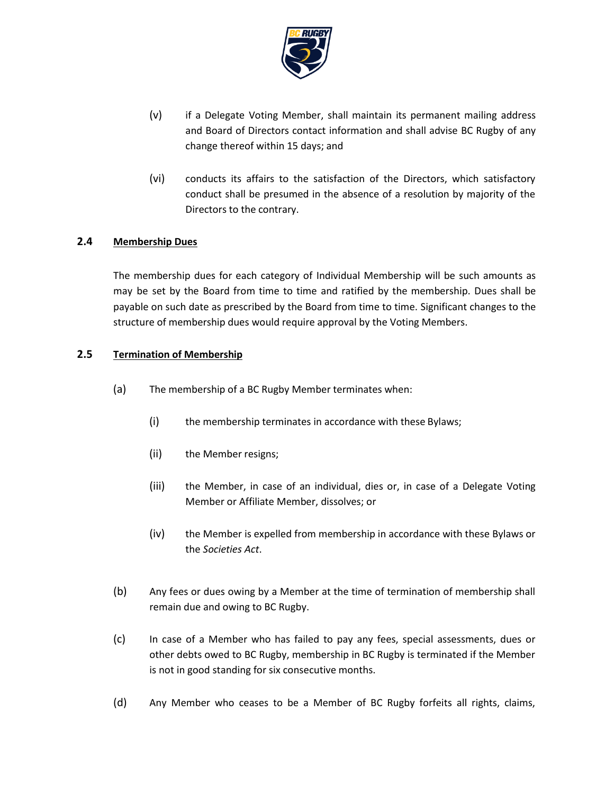

- (v) if a Delegate Voting Member, shall maintain its permanent mailing address and Board of Directors contact information and shall advise BC Rugby of any change thereof within 15 days; and
- (vi) conducts its affairs to the satisfaction of the Directors, which satisfactory conduct shall be presumed in the absence of a resolution by majority of the Directors to the contrary.

### **2.4 Membership Dues**

The membership dues for each category of Individual Membership will be such amounts as may be set by the Board from time to time and ratified by the membership. Dues shall be payable on such date as prescribed by the Board from time to time. Significant changes to the structure of membership dues would require approval by the Voting Members.

### **2.5 Termination of Membership**

- (a) The membership of a BC Rugby Member terminates when:
	- (i) the membership terminates in accordance with these Bylaws;
	- (ii) the Member resigns;
	- (iii) the Member, in case of an individual, dies or, in case of a Delegate Voting Member or Affiliate Member, dissolves; or
	- (iv) the Member is expelled from membership in accordance with these Bylaws or the *Societies Act*.
- (b) Any fees or dues owing by a Member at the time of termination of membership shall remain due and owing to BC Rugby.
- (c) In case of a Member who has failed to pay any fees, special assessments, dues or other debts owed to BC Rugby, membership in BC Rugby is terminated if the Member is not in good standing for six consecutive months.
- (d) Any Member who ceases to be a Member of BC Rugby forfeits all rights, claims,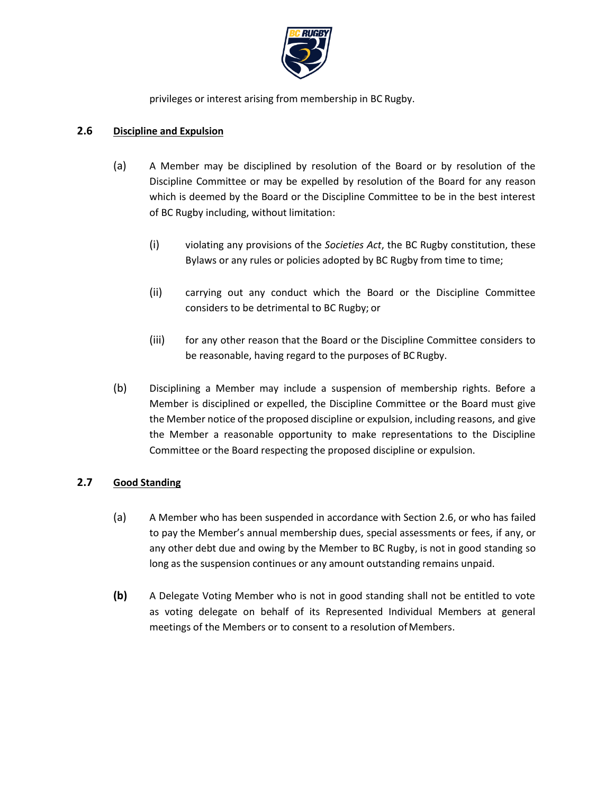

privileges or interest arising from membership in BC Rugby.

### <span id="page-7-0"></span>**2.6 Discipline and Expulsion**

- (a) A Member may be disciplined by resolution of the Board or by resolution of the Discipline Committee or may be expelled by resolution of the Board for any reason which is deemed by the Board or the Discipline Committee to be in the best interest of BC Rugby including, without limitation:
	- (i) violating any provisions of the *Societies Act*, the BC Rugby constitution, these Bylaws or any rules or policies adopted by BC Rugby from time to time;
	- (ii) carrying out any conduct which the Board or the Discipline Committee considers to be detrimental to BC Rugby; or
	- (iii) for any other reason that the Board or the Discipline Committee considers to be reasonable, having regard to the purposes of BC Rugby.
- (b) Disciplining a Member may include a suspension of membership rights. Before a Member is disciplined or expelled, the Discipline Committee or the Board must give the Member notice of the proposed discipline or expulsion, including reasons, and give the Member a reasonable opportunity to make representations to the Discipline Committee or the Board respecting the proposed discipline or expulsion.

# **2.7 Good Standing**

- (a) A Member who has been suspended in accordance with Section [2.6,](#page-7-0) or who has failed to pay the Member's annual membership dues, special assessments or fees, if any, or any other debt due and owing by the Member to BC Rugby, is not in good standing so long as the suspension continues or any amount outstanding remains unpaid.
- **(b)** A Delegate Voting Member who is not in good standing shall not be entitled to vote as voting delegate on behalf of its Represented Individual Members at general meetings of the Members or to consent to a resolution of Members.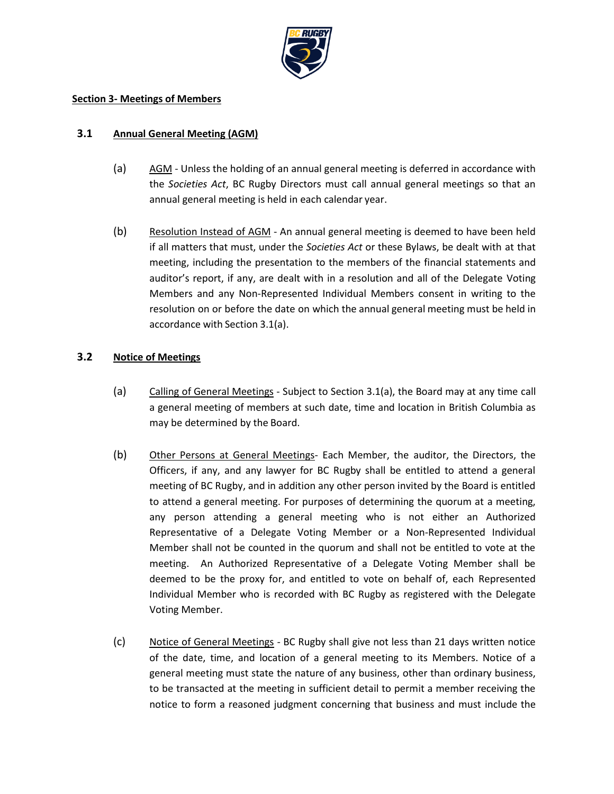

#### **Section 3- Meetings of Members**

#### <span id="page-8-0"></span>**3.1 Annual General Meeting (AGM)**

- (a) AGM Unless the holding of an annual general meeting is deferred in accordance with the *Societies Act*, BC Rugby Directors must call annual general meetings so that an annual general meeting is held in each calendar year.
- (b) Resolution Instead of AGM An annual general meeting is deemed to have been held if all matters that must, under the *Societies Act* or these Bylaws, be dealt with at that meeting, including the presentation to the members of the financial statements and auditor's report, if any, are dealt with in a resolution and all of the Delegate Voting Members and any Non-Represented Individual Members consent in writing to the resolution on or before the date on which the annual general meeting must be held in accordance with Section [3.1\(a\).](#page-8-0)

#### **3.2 Notice of Meetings**

- (a) Calling of General Meetings Subject to Section [3.1\(a\),](#page-8-0) the Board may at any time call a general meeting of members at such date, time and location in British Columbia as may be determined by the Board.
- (b) Other Persons at General Meetings- Each Member, the auditor, the Directors, the Officers, if any, and any lawyer for BC Rugby shall be entitled to attend a general meeting of BC Rugby, and in addition any other person invited by the Board is entitled to attend a general meeting. For purposes of determining the quorum at a meeting, any person attending a general meeting who is not either an Authorized Representative of a Delegate Voting Member or a Non-Represented Individual Member shall not be counted in the quorum and shall not be entitled to vote at the meeting. An Authorized Representative of a Delegate Voting Member shall be deemed to be the proxy for, and entitled to vote on behalf of, each Represented Individual Member who is recorded with BC Rugby as registered with the Delegate Voting Member.
- (c) Notice of General Meetings BC Rugby shall give not less than 21 days written notice of the date, time, and location of a general meeting to its Members. Notice of a general meeting must state the nature of any business, other than ordinary business, to be transacted at the meeting in sufficient detail to permit a member receiving the notice to form a reasoned judgment concerning that business and must include the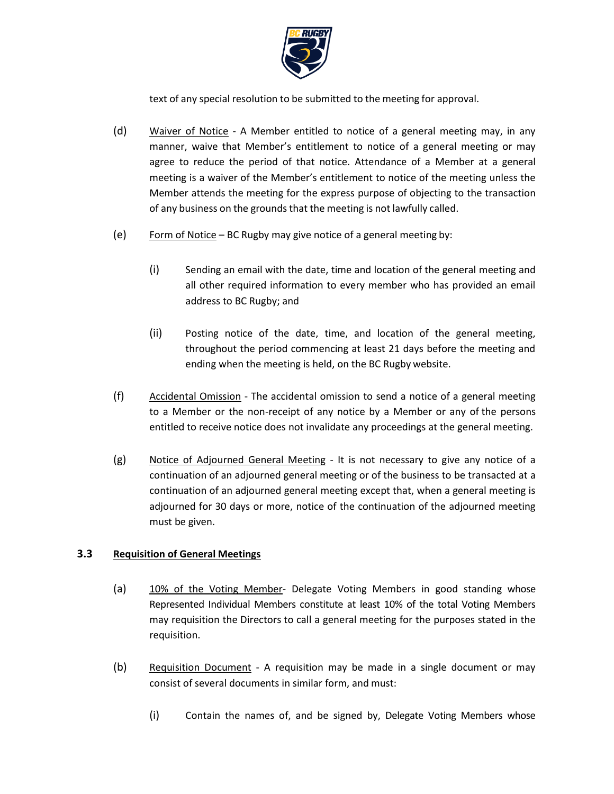

text of any special resolution to be submitted to the meeting for approval.

- (d) Waiver of Notice A Member entitled to notice of a general meeting may, in any manner, waive that Member's entitlement to notice of a general meeting or may agree to reduce the period of that notice. Attendance of a Member at a general meeting is a waiver of the Member's entitlement to notice of the meeting unless the Member attends the meeting for the express purpose of objecting to the transaction of any business on the grounds that the meeting is not lawfully called.
- (e) Form of Notice BC Rugby may give notice of a general meeting by:
	- (i) Sending an email with the date, time and location of the general meeting and all other required information to every member who has provided an email address to BC Rugby; and
	- (ii) Posting notice of the date, time, and location of the general meeting, throughout the period commencing at least 21 days before the meeting and ending when the meeting is held, on the BC Rugby website.
- (f) Accidental Omission The accidental omission to send a notice of a general meeting to a Member or the non-receipt of any notice by a Member or any of the persons entitled to receive notice does not invalidate any proceedings at the general meeting.
- (g) Notice of Adjourned General Meeting It is not necessary to give any notice of a continuation of an adjourned general meeting or of the business to be transacted at a continuation of an adjourned general meeting except that, when a general meeting is adjourned for 30 days or more, notice of the continuation of the adjourned meeting must be given.

# **3.3 Requisition of General Meetings**

- (a) 10% of the Voting Member- Delegate Voting Members in good standing whose Represented Individual Members constitute at least 10% of the total Voting Members may requisition the Directors to call a general meeting for the purposes stated in the requisition.
- <span id="page-9-1"></span><span id="page-9-0"></span>(b) Requisition Document - A requisition may be made in a single document or may consist of several documents in similar form, and must:
	- (i) Contain the names of, and be signed by, Delegate Voting Members whose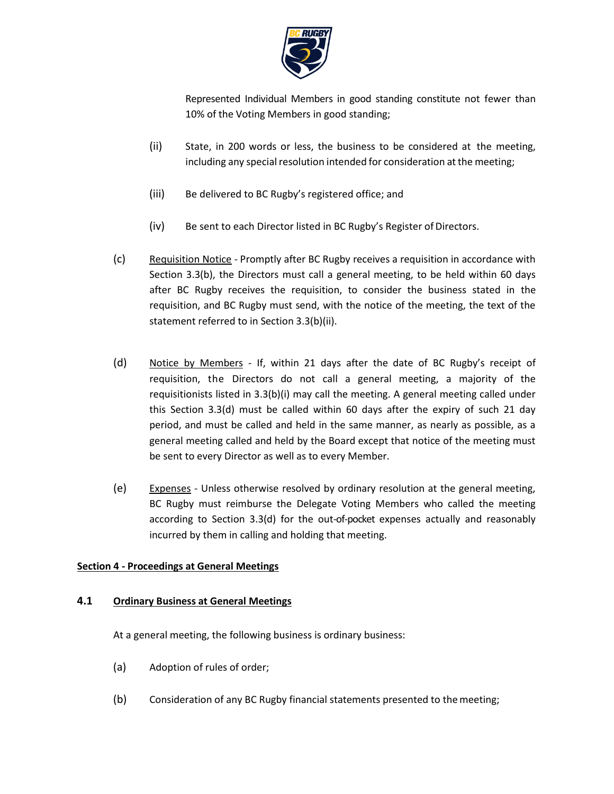

Represented Individual Members in good standing constitute not fewer than 10% of the Voting Members in good standing;

- <span id="page-10-0"></span>(ii) State, in 200 words or less, the business to be considered at the meeting, including any special resolution intended for consideration at the meeting;
- (iii) Be delivered to BC Rugby's registered office; and
- (iv) Be sent to each Director listed in BC Rugby's Register of Directors.
- (c) Requisition Notice Promptly after BC Rugby receives a requisition in accordance with Section [3.3\(b\),](#page-9-0) the Directors must call a general meeting, to be held within 60 days after BC Rugby receives the requisition, to consider the business stated in the requisition, and BC Rugby must send, with the notice of the meeting, the text of the statement referred to in Section [3.3\(b\)\(ii\).](#page-10-0)
- <span id="page-10-1"></span>(d) Notice by Members - If, within 21 days after the date of BC Rugby's receipt of requisition, the Directors do not call a general meeting, a majority of the requisitionists listed in [3.3\(b\)\(i\) m](#page-9-1)ay call the meeting. A general meeting called under this Section [3.3\(d\) m](#page-10-1)ust be called within 60 days after the expiry of such 21 day period, and must be called and held in the same manner, as nearly as possible, as a general meeting called and held by the Board except that notice of the meeting must be sent to every Director as well as to every Member.
- (e) Expenses Unless otherwise resolved by ordinary resolution at the general meeting, BC Rugby must reimburse the Delegate Voting Members who called the meeting according to Section [3.3\(d\)](#page-10-1) for the out-of-pocket expenses actually and reasonably incurred by them in calling and holding that meeting.

# **Section 4 - Proceedings at General Meetings**

#### **4.1 Ordinary Business at General Meetings**

At a general meeting, the following business is ordinary business:

- (a) Adoption of rules of order;
- (b) Consideration of any BC Rugby financial statements presented to themeeting;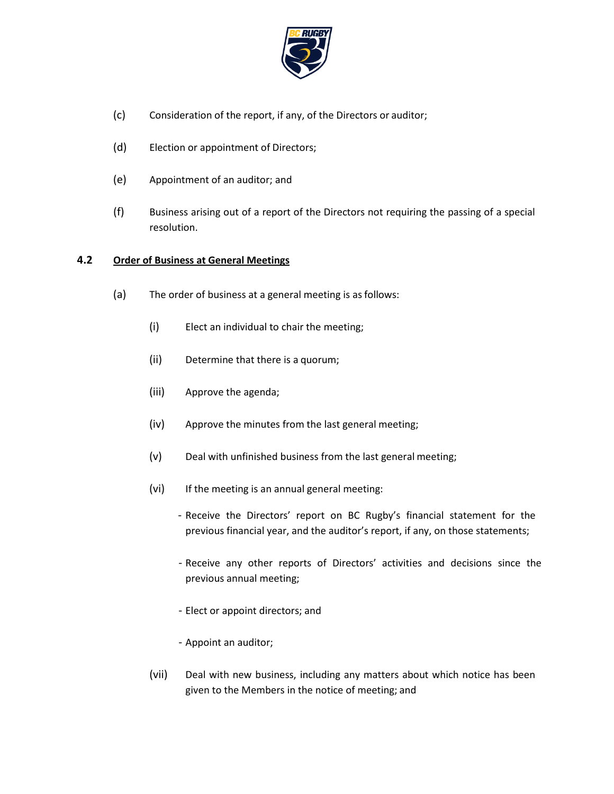

- (c) Consideration of the report, if any, of the Directors or auditor;
- (d) Election or appointment of Directors;
- (e) Appointment of an auditor; and
- (f) Business arising out of a report of the Directors not requiring the passing of a special resolution.

### **4.2 Order of Business at General Meetings**

- (a) The order of business at a general meeting is asfollows:
	- (i) Elect an individual to chair the meeting;
	- (ii) Determine that there is a quorum;
	- (iii) Approve the agenda;
	- (iv) Approve the minutes from the last general meeting;
	- (v) Deal with unfinished business from the last general meeting;
	- (vi) If the meeting is an annual general meeting:
		- Receive the Directors' report on BC Rugby's financial statement for the previous financial year, and the auditor's report, if any, on those statements;
		- Receive any other reports of Directors' activities and decisions since the previous annual meeting;
		- Elect or appoint directors; and
		- Appoint an auditor;
	- (vii) Deal with new business, including any matters about which notice has been given to the Members in the notice of meeting; and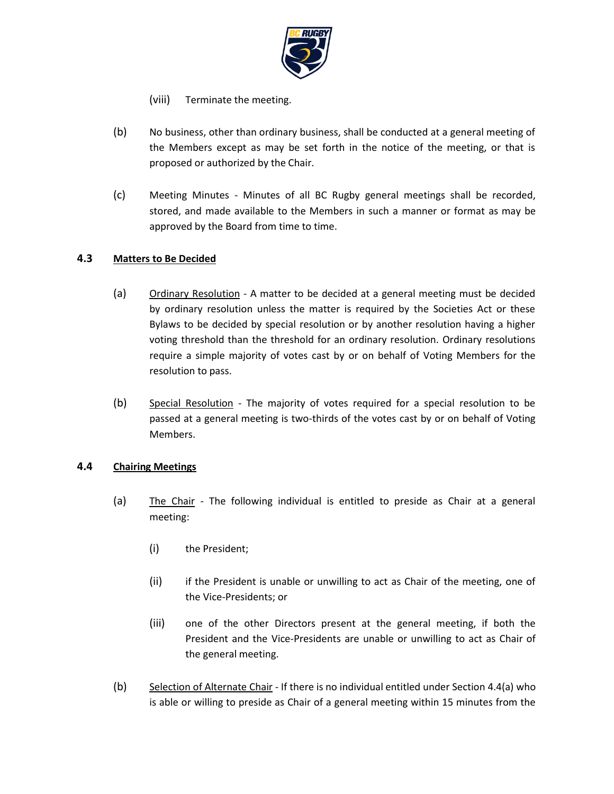

(viii) Terminate the meeting.

- (b) No business, other than ordinary business, shall be conducted at a general meeting of the Members except as may be set forth in the notice of the meeting, or that is proposed or authorized by the Chair.
- (c) Meeting Minutes Minutes of all BC Rugby general meetings shall be recorded, stored, and made available to the Members in such a manner or format as may be approved by the Board from time to time.

# **4.3 Matters to Be Decided**

- (a) Ordinary Resolution A matter to be decided at a general meeting must be decided by ordinary resolution unless the matter is required by the Societies Act or these Bylaws to be decided by special resolution or by another resolution having a higher voting threshold than the threshold for an ordinary resolution. Ordinary resolutions require a simple majority of votes cast by or on behalf of Voting Members for the resolution to pass.
- (b) Special Resolution The majority of votes required for a special resolution to be passed at a general meeting is two-thirds of the votes cast by or on behalf of Voting Members.

# <span id="page-12-0"></span>**4.4 Chairing Meetings**

- (a) The Chair The following individual is entitled to preside as Chair at a general meeting:
	- (i) the President;
	- (ii) if the President is unable or unwilling to act as Chair of the meeting, one of the Vice-Presidents; or
	- (iii) one of the other Directors present at the general meeting, if both the President and the Vice-Presidents are unable or unwilling to act as Chair of the general meeting.
- (b) Selection of Alternate Chair If there is no individual entitled under Section [4.4\(a\)](#page-12-0) who is able or willing to preside as Chair of a general meeting within 15 minutes from the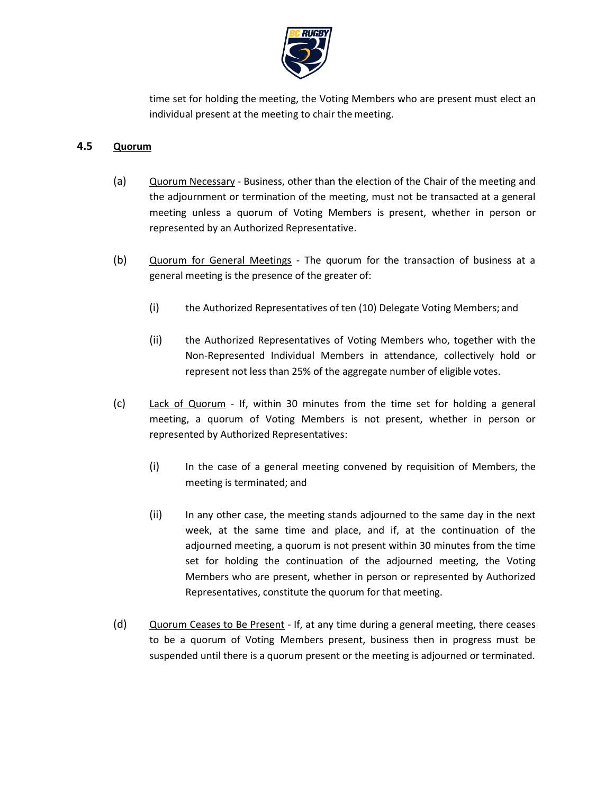

time set for holding the meeting, the Voting Members who are present must elect an individual present at the meeting to chair the meeting.

# **4.5 Quorum**

- (a) Quorum Necessary Business, other than the election of the Chair of the meeting and the adjournment or termination of the meeting, must not be transacted at a general meeting unless a quorum of Voting Members is present, whether in person or represented by an Authorized Representative.
- (b) Quorum for General Meetings The quorum for the transaction of business at a general meeting is the presence of the greater of:
	- (i) the Authorized Representatives of ten (10) Delegate Voting Members; and
	- (ii) the Authorized Representatives of Voting Members who, together with the Non-Represented Individual Members in attendance, collectively hold or represent not less than 25% of the aggregate number of eligible votes.
- (c) Lack of Quorum If, within 30 minutes from the time set for holding a general meeting, a quorum of Voting Members is not present, whether in person or represented by Authorized Representatives:
	- (i) In the case of a general meeting convened by requisition of Members, the meeting is terminated; and
	- (ii) In any other case, the meeting stands adjourned to the same day in the next week, at the same time and place, and if, at the continuation of the adjourned meeting, a quorum is not present within 30 minutes from the time set for holding the continuation of the adjourned meeting, the Voting Members who are present, whether in person or represented by Authorized Representatives, constitute the quorum for that meeting.
- (d) Quorum Ceases to Be Present If, at any time during a general meeting, there ceases to be a quorum of Voting Members present, business then in progress must be suspended until there is a quorum present or the meeting is adjourned or terminated.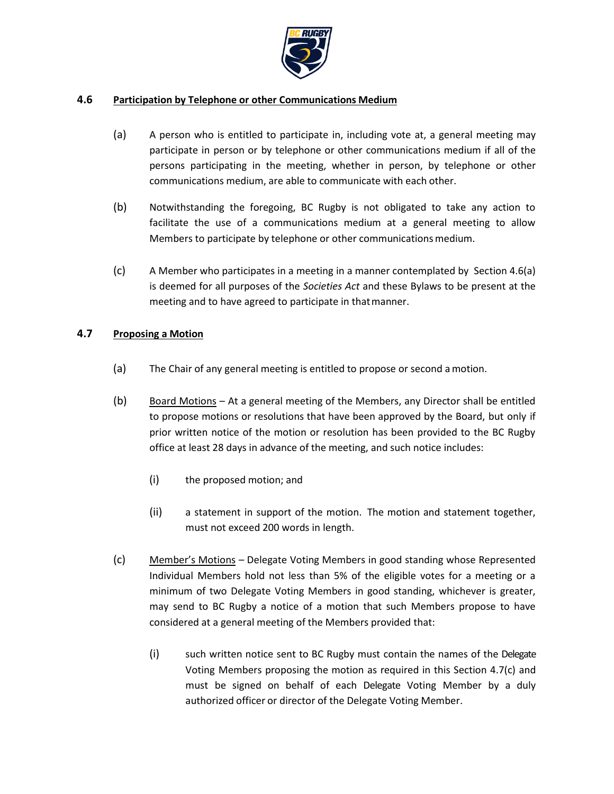

### <span id="page-14-0"></span>**4.6 Participation by Telephone or other Communications Medium**

- (a) A person who is entitled to participate in, including vote at, a general meeting may participate in person or by telephone or other communications medium if all of the persons participating in the meeting, whether in person, by telephone or other communications medium, are able to communicate with each other.
- (b) Notwithstanding the foregoing, BC Rugby is not obligated to take any action to facilitate the use of a communications medium at a general meeting to allow Members to participate by telephone or other communications medium.
- (c) A Member who participates in a meeting in a manner contemplated by Se[ction 4.6\(a\)](#page-14-0)  is deemed for all purposes of the *Societies Act* and these Bylaws to be present at the meeting and to have agreed to participate in that manner.

### **4.7 Proposing a Motion**

- (a) The Chair of any general meeting is entitled to propose or second amotion.
- (b) Board Motions At a general meeting of the Members, any Director shall be entitled to propose motions or resolutions that have been approved by the Board, but only if prior written notice of the motion or resolution has been provided to the BC Rugby office at least 28 days in advance of the meeting, and such notice includes:
	- (i) the proposed motion; and
	- (ii) a statement in support of the motion. The motion and statement together, must not exceed 200 words in length.
- <span id="page-14-1"></span>(c) Member's Motions – Delegate Voting Members in good standing whose Represented Individual Members hold not less than 5% of the eligible votes for a meeting or a minimum of two Delegate Voting Members in good standing, whichever is greater, may send to BC Rugby a notice of a motion that such Members propose to have considered at a general meeting of the Members provided that:
	- (i) such written notice sent to BC Rugby must contain the names of the Delegate Voting Members proposing the motion as required in this Section [4.7\(c\)](#page-14-1) and must be signed on behalf of each Delegate Voting Member by a duly authorized officer or director of the Delegate Voting Member.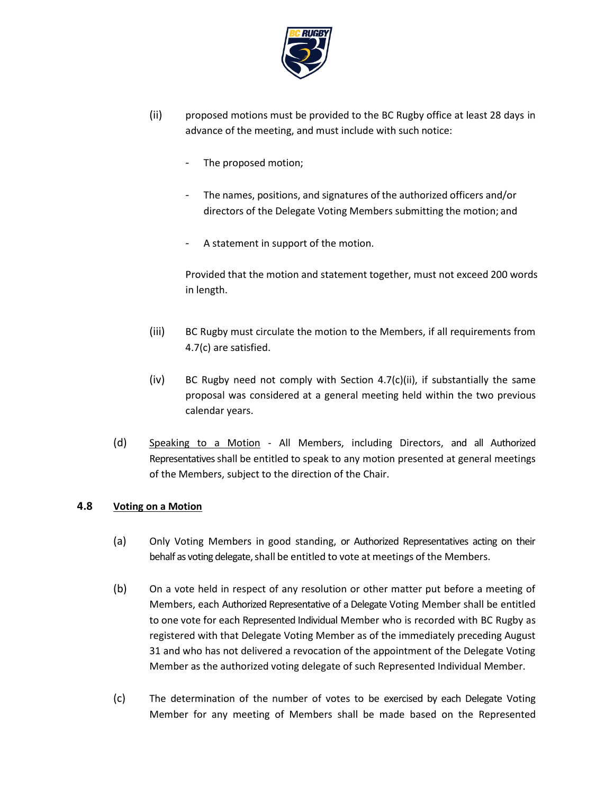

- <span id="page-15-0"></span>(ii) proposed motions must be provided to the BC Rugby office at least 28 days in advance of the meeting, and must include with such notice:
	- The proposed motion;
	- The names, positions, and signatures of the authorized officers and/or directors of the Delegate Voting Members submitting the motion; and
	- A statement in support of the motion.

Provided that the motion and statement together, must not exceed 200 words in length.

- (iii) BC Rugby must circulate the motion to the Members, if all requirements from [4.7\(c\) a](#page-14-1)re satisfied.
- $(iv)$  BC Rugby need not comply with Section [4.7\(c\)\(ii\),](#page-15-0) if substantially the same proposal was considered at a general meeting held within the two previous calendar years.
- (d) Speaking to a Motion All Members, including Directors, and all Authorized Representatives shall be entitled to speak to any motion presented at general meetings of the Members, subject to the direction of the Chair.

# **4.8 Voting on a Motion**

- (a) Only Voting Members in good standing, or Authorized Representatives acting on their behalf as voting delegate, shall be entitled to vote at meetings of the Members.
- (b) On a vote held in respect of any resolution or other matter put before a meeting of Members, each Authorized Representative of a Delegate Voting Member shall be entitled to one vote for each Represented Individual Member who is recorded with BC Rugby as registered with that Delegate Voting Member as of the immediately preceding August 31 and who has not delivered a revocation of the appointment of the Delegate Voting Member as the authorized voting delegate of such Represented Individual Member.
- (c) The determination of the number of votes to be exercised by each Delegate Voting Member for any meeting of Members shall be made based on the Represented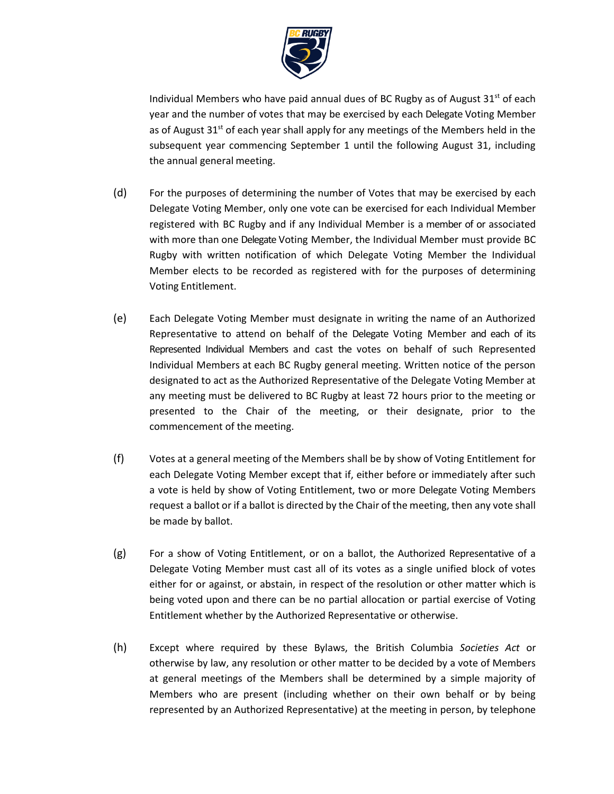

Individual Members who have paid annual dues of BC Rugby as of August  $31<sup>st</sup>$  of each year and the number of votes that may be exercised by each Delegate Voting Member as of August  $31<sup>st</sup>$  of each year shall apply for any meetings of the Members held in the subsequent year commencing September 1 until the following August 31, including the annual general meeting.

- (d) For the purposes of determining the number of Votes that may be exercised by each Delegate Voting Member, only one vote can be exercised for each Individual Member registered with BC Rugby and if any Individual Member is a member of or associated with more than one Delegate Voting Member, the Individual Member must provide BC Rugby with written notification of which Delegate Voting Member the Individual Member elects to be recorded as registered with for the purposes of determining Voting Entitlement.
- (e) Each Delegate Voting Member must designate in writing the name of an Authorized Representative to attend on behalf of the Delegate Voting Member and each of its Represented Individual Members and cast the votes on behalf of such Represented Individual Members at each BC Rugby general meeting. Written notice of the person designated to act as the Authorized Representative of the Delegate Voting Member at any meeting must be delivered to BC Rugby at least 72 hours prior to the meeting or presented to the Chair of the meeting, or their designate, prior to the commencement of the meeting.
- (f) Votes at a general meeting of the Members shall be by show of Voting Entitlement for each Delegate Voting Member except that if, either before or immediately after such a vote is held by show of Voting Entitlement, two or more Delegate Voting Members request a ballot or if a ballot is directed by the Chair of the meeting, then any vote shall be made by ballot.
- (g) For a show of Voting Entitlement, or on a ballot, the Authorized Representative of a Delegate Voting Member must cast all of its votes as a single unified block of votes either for or against, or abstain, in respect of the resolution or other matter which is being voted upon and there can be no partial allocation or partial exercise of Voting Entitlement whether by the Authorized Representative or otherwise.
- (h) Except where required by these Bylaws, the British Columbia *Societies Act* or otherwise by law, any resolution or other matter to be decided by a vote of Members at general meetings of the Members shall be determined by a simple majority of Members who are present (including whether on their own behalf or by being represented by an Authorized Representative) at the meeting in person, by telephone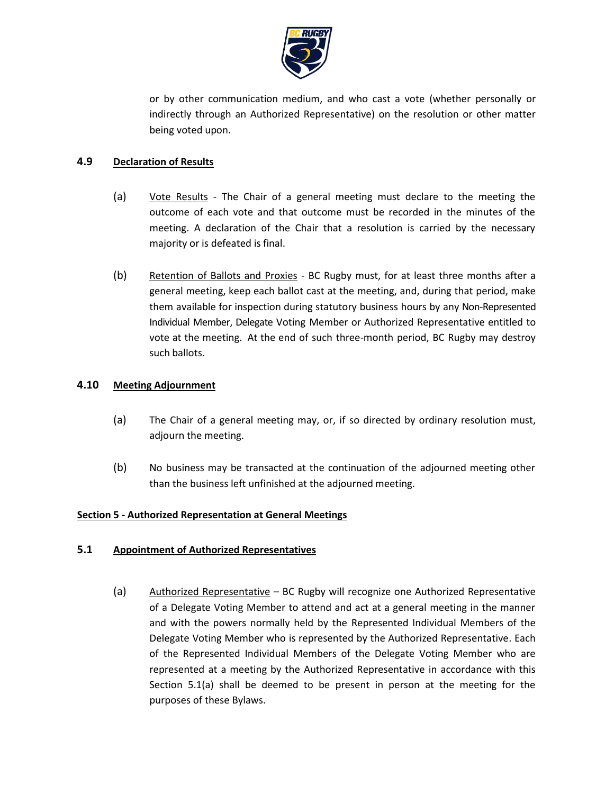

or by other communication medium, and who cast a vote (whether personally or indirectly through an Authorized Representative) on the resolution or other matter being voted upon.

# **4.9 Declaration of Results**

- (a) Vote Results The Chair of a general meeting must declare to the meeting the outcome of each vote and that outcome must be recorded in the minutes of the meeting. A declaration of the Chair that a resolution is carried by the necessary majority or is defeated is final.
- (b) Retention of Ballots and Proxies BC Rugby must, for at least three months after a general meeting, keep each ballot cast at the meeting, and, during that period, make them available for inspection during statutory business hours by any Non-Represented Individual Member, Delegate Voting Member or Authorized Representative entitled to vote at the meeting. At the end of such three-month period, BC Rugby may destroy such ballots.

### **4.10 Meeting Adjournment**

- (a) The Chair of a general meeting may, or, if so directed by ordinary resolution must, adjourn the meeting.
- (b) No business may be transacted at the continuation of the adjourned meeting other than the business left unfinished at the adjourned meeting.

# **Section 5 - Authorized Representation at General Meetings**

#### <span id="page-17-0"></span>**5.1 Appointment of Authorized Representatives**

(a) Authorized Representative – BC Rugby will recognize one Authorized Representative of a Delegate Voting Member to attend and act at a general meeting in the manner and with the powers normally held by the Represented Individual Members of the Delegate Voting Member who is represented by the Authorized Representative. Each of the Represented Individual Members of the Delegate Voting Member who are represented at a meeting by the Authorized Representative in accordance with this Section [5.1\(a\) s](#page-17-0)hall be deemed to be present in person at the meeting for the purposes of these Bylaws.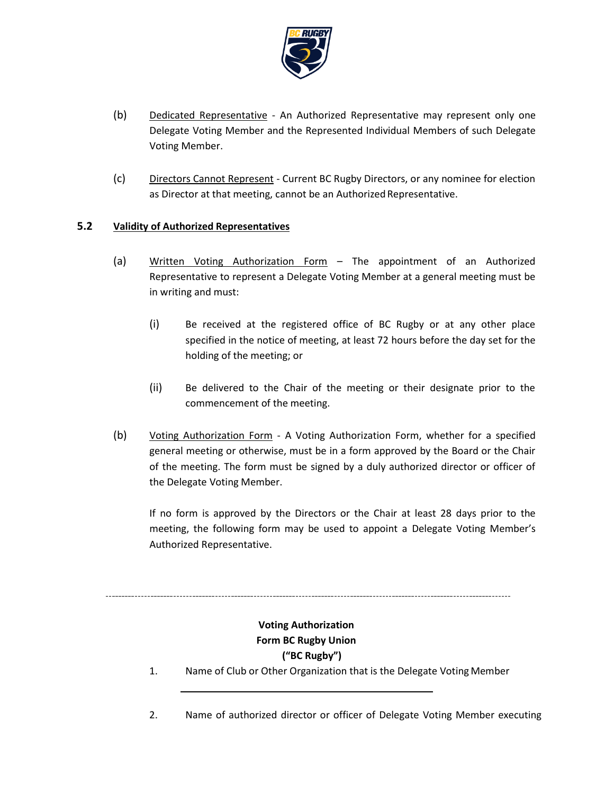

- (b) Dedicated Representative An Authorized Representative may represent only one Delegate Voting Member and the Represented Individual Members of such Delegate Voting Member.
- (c) Directors Cannot Represent Current BC Rugby Directors, or any nominee for election as Director at that meeting, cannot be an Authorized Representative.

# **5.2 Validity of Authorized Representatives**

- (a) Written Voting Authorization Form The appointment of an Authorized Representative to represent a Delegate Voting Member at a general meeting must be in writing and must:
	- (i) Be received at the registered office of BC Rugby or at any other place specified in the notice of meeting, at least 72 hours before the day set for the holding of the meeting; or
	- (ii) Be delivered to the Chair of the meeting or their designate prior to the commencement of the meeting.
- (b) Voting Authorization Form A Voting Authorization Form, whether for a specified general meeting or otherwise, must be in a form approved by the Board or the Chair of the meeting. The form must be signed by a duly authorized director or officer of the Delegate Voting Member.

If no form is approved by the Directors or the Chair at least 28 days prior to the meeting, the following form may be used to appoint a Delegate Voting Member's Authorized Representative.

# **Voting Authorization Form BC Rugby Union ("BC Rugby")**

- 1. Name of Club or Other Organization that is the Delegate VotingMember
- 2. Name of authorized director or officer of Delegate Voting Member executing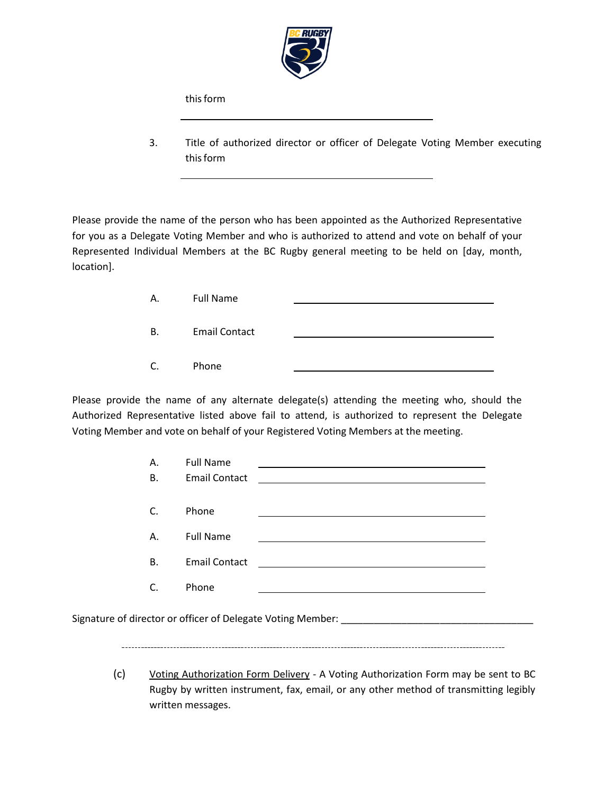

this form

3. Title of authorized director or officer of Delegate Voting Member executing this form

Please provide the name of the person who has been appointed as the Authorized Representative for you as a Delegate Voting Member and who is authorized to attend and vote on behalf of your Represented Individual Members at the BC Rugby general meeting to be held on [day, month, location].

| Α. | <b>Full Name</b>     |  |
|----|----------------------|--|
| В. | <b>Email Contact</b> |  |
| C. | Phone                |  |

Please provide the name of any alternate delegate(s) attending the meeting who, should the Authorized Representative listed above fail to attend, is authorized to represent the Delegate Voting Member and vote on behalf of your Registered Voting Members at the meeting.

| <b>Full Name</b>     |                                                                                                                       |                                                                                                                                                                                                                                      |
|----------------------|-----------------------------------------------------------------------------------------------------------------------|--------------------------------------------------------------------------------------------------------------------------------------------------------------------------------------------------------------------------------------|
| <b>Email Contact</b> |                                                                                                                       |                                                                                                                                                                                                                                      |
| Phone                |                                                                                                                       |                                                                                                                                                                                                                                      |
| <b>Full Name</b>     |                                                                                                                       |                                                                                                                                                                                                                                      |
| <b>Email Contact</b> | <u> 1989 - Andrea State Barbara, amerikan personal di sebagai personal di sebagai personal di sebagai personal di</u> |                                                                                                                                                                                                                                      |
| Phone                |                                                                                                                       |                                                                                                                                                                                                                                      |
|                      |                                                                                                                       | <u> 1989 - Jan Stern Harry Harry Harry Harry Harry Harry Harry Harry Harry Harry Harry Harry Harry Harry Harry Harry Harry Harry Harry Harry Harry Harry Harry Harry Harry Harry Harry Harry Harry Harry Harry Harry Harry Harry</u> |

Signature of director or officer of Delegate Voting Member: \_\_\_\_\_\_\_\_\_\_\_\_\_\_\_\_\_\_\_\_

(c) Voting Authorization Form Delivery - A Voting Authorization Form may be sent to BC Rugby by written instrument, fax, email, or any other method of transmitting legibly written messages.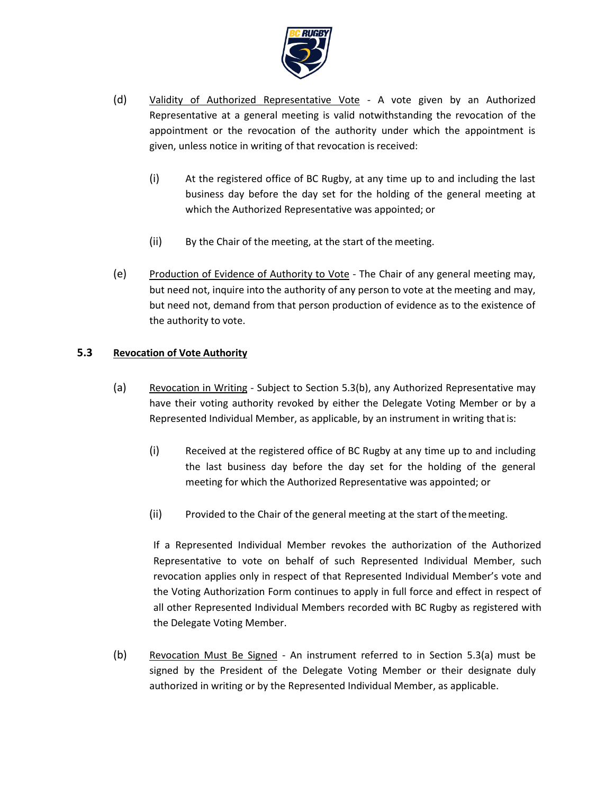

- (d) Validity of Authorized Representative Vote A vote given by an Authorized Representative at a general meeting is valid notwithstanding the revocation of the appointment or the revocation of the authority under which the appointment is given, unless notice in writing of that revocation is received:
	- (i) At the registered office of BC Rugby, at any time up to and including the last business day before the day set for the holding of the general meeting at which the Authorized Representative was appointed; or
	- (ii) By the Chair of the meeting, at the start of the meeting.
- (e) Production of Evidence of Authority to Vote The Chair of any general meeting may, but need not, inquire into the authority of any person to vote at the meeting and may, but need not, demand from that person production of evidence as to the existence of the authority to vote.

# <span id="page-20-1"></span>**5.3 Revocation of Vote Authority**

- (a) Revocation in Writing Subject to Section [5.3\(b\),](#page-20-0) any Authorized Representative may have their voting authority revoked by either the Delegate Voting Member or by a Represented Individual Member, as applicable, by an instrument in writing thatis:
	- (i) Received at the registered office of BC Rugby at any time up to and including the last business day before the day set for the holding of the general meeting for which the Authorized Representative was appointed; or
	- (ii) Provided to the Chair of the general meeting at the start of themeeting.

If a Represented Individual Member revokes the authorization of the Authorized Representative to vote on behalf of such Represented Individual Member, such revocation applies only in respect of that Represented Individual Member's vote and the Voting Authorization Form continues to apply in full force and effect in respect of all other Represented Individual Members recorded with BC Rugby as registered with the Delegate Voting Member.

<span id="page-20-0"></span>(b) Revocation Must Be Signed - An instrument referred to in Section [5.3\(a\) m](#page-20-1)ust be signed by the President of the Delegate Voting Member or their designate duly authorized in writing or by the Represented Individual Member, as applicable.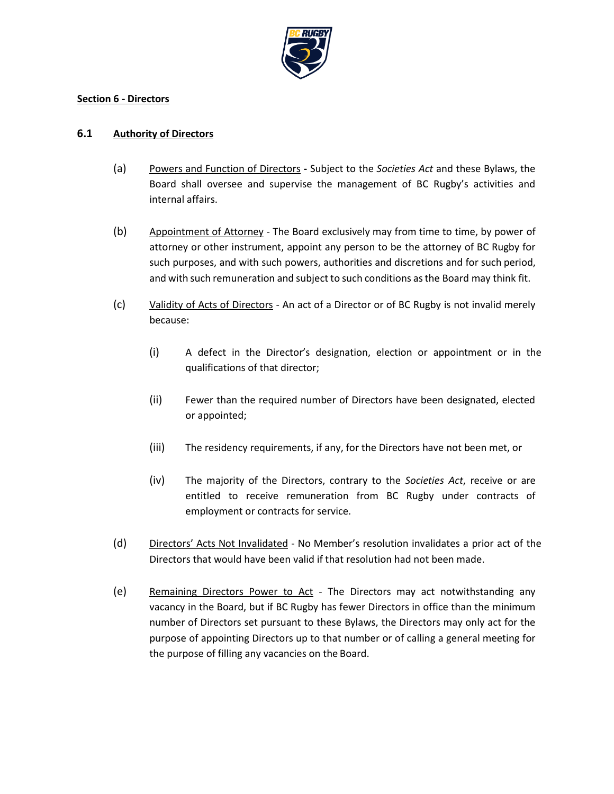

#### **Section 6 - Directors**

### <span id="page-21-0"></span>**6.1 Authority of Directors**

- (a) Powers and Function of Directors **-** Subject to the *Societies Act* and these Bylaws, the Board shall oversee and supervise the management of BC Rugby's activities and internal affairs.
- (b) Appointment of Attorney The Board exclusively may from time to time, by power of attorney or other instrument, appoint any person to be the attorney of BC Rugby for such purposes, and with such powers, authorities and discretions and for such period, and with such remuneration and subject to such conditions asthe Board may think fit.
- (c) Validity of Acts of Directors An act of a Director or of BC Rugby is not invalid merely because:
	- (i) A defect in the Director's designation, election or appointment or in the qualifications of that director;
	- (ii) Fewer than the required number of Directors have been designated, elected or appointed;
	- (iii) The residency requirements, if any, for the Directors have not been met, or
	- (iv) The majority of the Directors, contrary to the *Societies Act*, receive or are entitled to receive remuneration from BC Rugby under contracts of employment or contracts for service.
- (d) Directors' Acts Not Invalidated No Member's resolution invalidates a prior act of the Directors that would have been valid if that resolution had not been made.
- (e) Remaining Directors Power to Act The Directors may act notwithstanding any vacancy in the Board, but if BC Rugby has fewer Directors in office than the minimum number of Directors set pursuant to these Bylaws, the Directors may only act for the purpose of appointing Directors up to that number or of calling a general meeting for the purpose of filling any vacancies on the Board.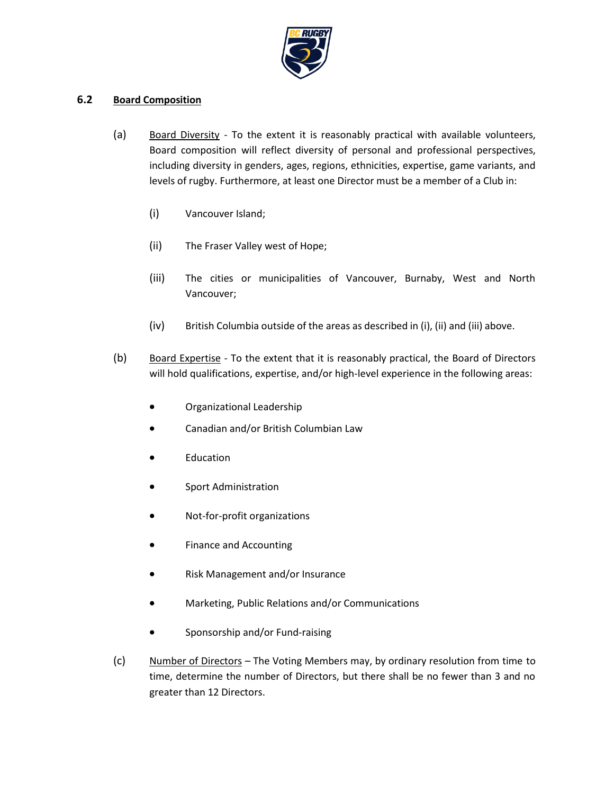

### **6.2 Board Composition**

- (a) Board Diversity To the extent it is reasonably practical with available volunteers, Board composition will reflect diversity of personal and professional perspectives, including diversity in genders, ages, regions, ethnicities, expertise, game variants, and levels of rugby. Furthermore, at least one Director must be a member of a Club in:
	- (i) Vancouver Island;
	- (ii) The Fraser Valley west of Hope;
	- (iii) The cities or municipalities of Vancouver, Burnaby, West and North Vancouver;
	- (iv) British Columbia outside of the areas as described in (i), (ii) and (iii) above.
- (b) Board Expertise To the extent that it is reasonably practical, the Board of Directors will hold qualifications, expertise, and/or high-level experience in the following areas:
	- Organizational Leadership
	- Canadian and/or British Columbian Law
	- **Education**
	- Sport Administration
	- Not-for-profit organizations
	- Finance and Accounting
	- Risk Management and/or Insurance
	- Marketing, Public Relations and/or Communications
	- Sponsorship and/or Fund-raising
- (c) Number of Directors The Voting Members may, by ordinary resolution from time to time, determine the number of Directors, but there shall be no fewer than 3 and no greater than 12 Directors.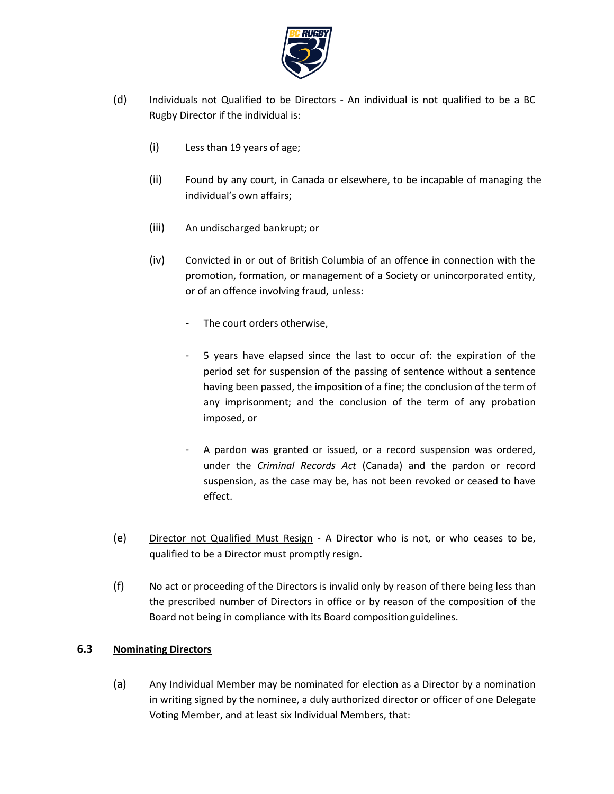

- <span id="page-23-0"></span>(d) Individuals not Qualified to be Directors - An individual is not qualified to be a BC Rugby Director if the individual is:
	- (i) Less than 19 years of age;
	- (ii) Found by any court, in Canada or elsewhere, to be incapable of managing the individual's own affairs;
	- (iii) An undischarged bankrupt; or
	- (iv) Convicted in or out of British Columbia of an offence in connection with the promotion, formation, or management of a Society or unincorporated entity, or of an offence involving fraud, unless:
		- The court orders otherwise,
		- 5 years have elapsed since the last to occur of: the expiration of the period set for suspension of the passing of sentence without a sentence having been passed, the imposition of a fine; the conclusion of the term of any imprisonment; and the conclusion of the term of any probation imposed, or
		- A pardon was granted or issued, or a record suspension was ordered, under the *Criminal Records Act* (Canada) and the pardon or record suspension, as the case may be, has not been revoked or ceased to have effect.
- (e) Director not Qualified Must Resign A Director who is not, or who ceases to be, qualified to be a Director must promptly resign.
- (f) No act or proceeding of the Directors is invalid only by reason of there being less than the prescribed number of Directors in office or by reason of the composition of the Board not being in compliance with its Board compositionguidelines.

# **6.3 Nominating Directors**

(a) Any Individual Member may be nominated for election as a Director by a nomination in writing signed by the nominee, a duly authorized director or officer of one Delegate Voting Member, and at least six Individual Members, that: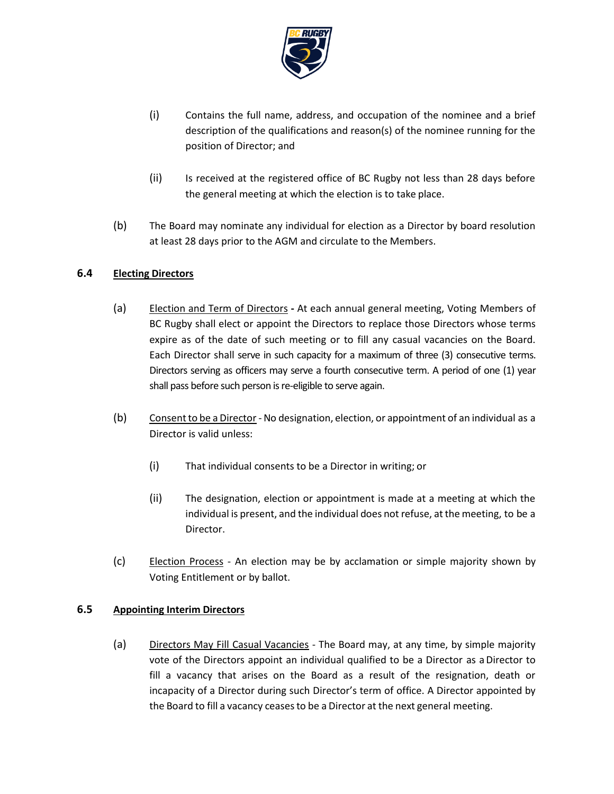

- (i) Contains the full name, address, and occupation of the nominee and a brief description of the qualifications and reason(s) of the nominee running for the position of Director; and
- (ii) Is received at the registered office of BC Rugby not less than 28 days before the general meeting at which the election is to take place.
- (b) The Board may nominate any individual for election as a Director by board resolution at least 28 days prior to the AGM and circulate to the Members.

# **6.4 Electing Directors**

- (a) Election and Term of Directors **-** At each annual general meeting, Voting Members of BC Rugby shall elect or appoint the Directors to replace those Directors whose terms expire as of the date of such meeting or to fill any casual vacancies on the Board. Each Director shall serve in such capacity for a maximum of three (3) consecutive terms. Directors serving as officers may serve a fourth consecutive term. A period of one (1) year shall pass before such person is re-eligible to serve again.
- (b) Consent to be a Director No designation, election, or appointment of an individual as a Director is valid unless:
	- (i) That individual consents to be a Director in writing; or
	- (ii) The designation, election or appointment is made at a meeting at which the individual is present, and the individual does not refuse, atthe meeting, to be a Director.
- (c) Election Process An election may be by acclamation or simple majority shown by Voting Entitlement or by ballot.

# **6.5 Appointing Interim Directors**

(a) Directors May Fill Casual Vacancies - The Board may, at any time, by simple majority vote of the Directors appoint an individual qualified to be a Director as aDirector to fill a vacancy that arises on the Board as a result of the resignation, death or incapacity of a Director during such Director's term of office. A Director appointed by the Board to fill a vacancy ceases to be a Director at the next general meeting.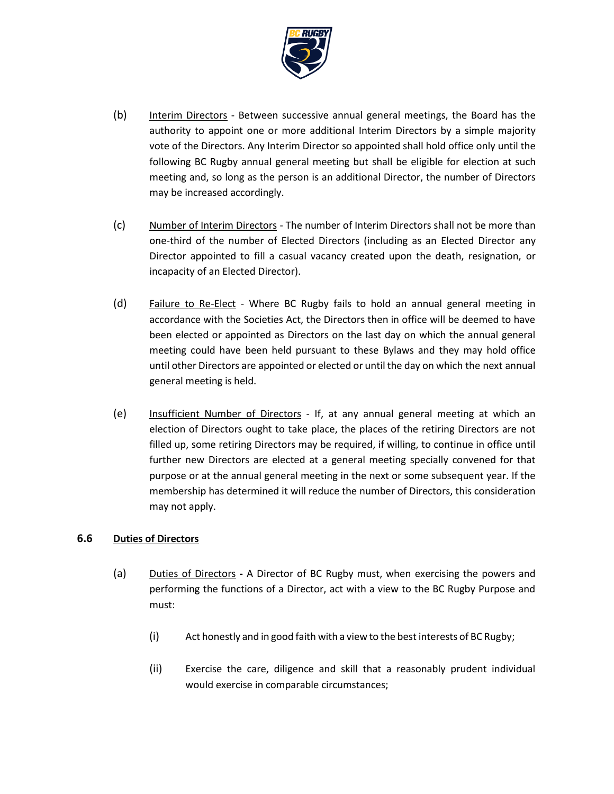

- (b) Interim Directors Between successive annual general meetings, the Board has the authority to appoint one or more additional Interim Directors by a simple majority vote of the Directors. Any Interim Director so appointed shall hold office only until the following BC Rugby annual general meeting but shall be eligible for election at such meeting and, so long as the person is an additional Director, the number of Directors may be increased accordingly.
- (c) Number of Interim Directors The number of Interim Directors shall not be more than one-third of the number of Elected Directors (including as an Elected Director any Director appointed to fill a casual vacancy created upon the death, resignation, or incapacity of an Elected Director).
- (d) Failure to Re-Elect Where BC Rugby fails to hold an annual general meeting in accordance with the Societies Act, the Directors then in office will be deemed to have been elected or appointed as Directors on the last day on which the annual general meeting could have been held pursuant to these Bylaws and they may hold office until other Directors are appointed or elected or until the day on which the next annual general meeting is held.
- (e) Insufficient Number of Directors If, at any annual general meeting at which an election of Directors ought to take place, the places of the retiring Directors are not filled up, some retiring Directors may be required, if willing, to continue in office until further new Directors are elected at a general meeting specially convened for that purpose or at the annual general meeting in the next or some subsequent year. If the membership has determined it will reduce the number of Directors, this consideration may not apply.

# <span id="page-25-1"></span>**6.6 Duties of Directors**

- <span id="page-25-0"></span>(a) Duties of Directors **-** A Director of BC Rugby must, when exercising the powers and performing the functions of a Director, act with a view to the BC Rugby Purpose and must:
	- (i) Act honestly and in good faith with a view to the best interests of BC Rugby;
	- (ii) Exercise the care, diligence and skill that a reasonably prudent individual would exercise in comparable circumstances;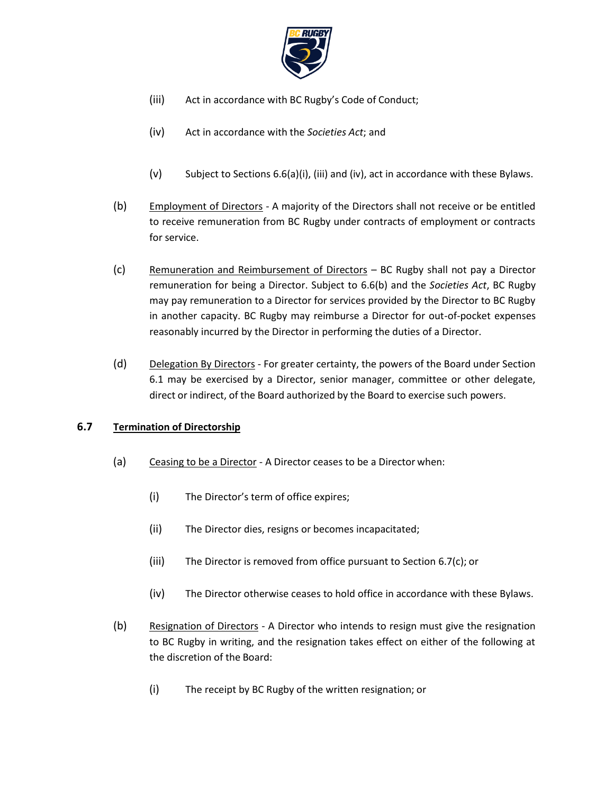

- <span id="page-26-0"></span>(iii) Act in accordance with BC Rugby's Code of Conduct;
- <span id="page-26-1"></span>(iv) Act in accordance with the *Societies Act*; and
- (v) Subject to Sections [6.6\(a\)\(i\),](#page-25-0) [\(iii\)](#page-26-0) an[d \(iv\),](#page-26-1) act in accordance with these Bylaws.
- <span id="page-26-2"></span>(b) Employment of Directors - A majority of the Directors shall not receive or be entitled to receive remuneration from BC Rugby under contracts of employment or contracts for service.
- (c) Remuneration and Reimbursement of Directors BC Rugby shall not pay a Director remuneration for being a Director. Subject to [6.6\(b\) a](#page-26-2)nd the *Societies Act*, BC Rugby may pay remuneration to a Director for services provided by the Director to BC Rugby in another capacity. BC Rugby may reimburse a Director for out-of-pocket expenses reasonably incurred by the Director in performing the duties of a Director.
- (d) Delegation By Directors For greater certainty, the powers of the Board under Section [6.1 m](#page-21-0)ay be exercised by a Director, senior manager, committee or other delegate, direct or indirect, of the Board authorized by the Board to exercise such powers.

# **6.7 Termination of Directorship**

- (a) Ceasing to be a Director A Director ceases to be a Director when:
	- (i) The Director's term of office expires;
	- (ii) The Director dies, resigns or becomes incapacitated;
	- (iii) The Director is removed from office pursuant to Section [6.7\(c\);](#page-27-0) or
	- (iv) The Director otherwise ceases to hold office in accordance with these Bylaws.
- (b) Resignation of Directors A Director who intends to resign must give the resignation to BC Rugby in writing, and the resignation takes effect on either of the following at the discretion of the Board:
	- (i) The receipt by BC Rugby of the written resignation; or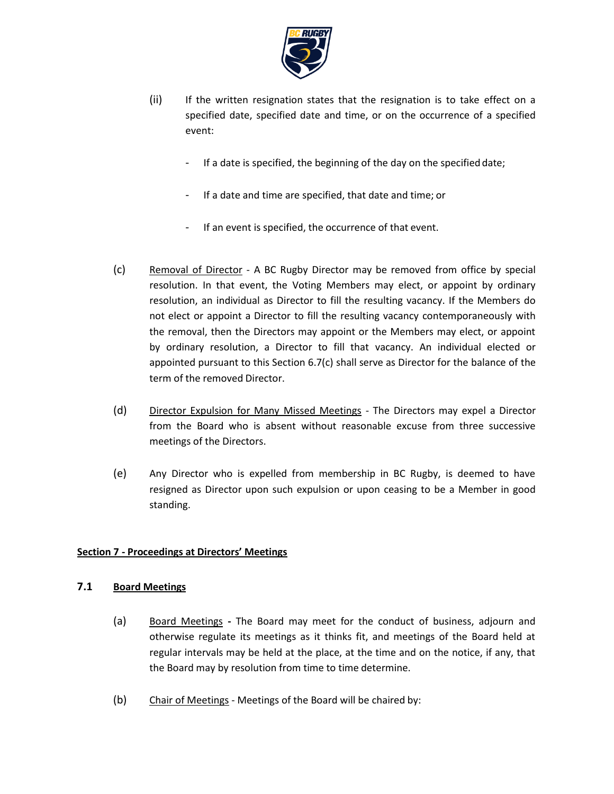

- (ii) If the written resignation states that the resignation is to take effect on a specified date, specified date and time, or on the occurrence of a specified event:
	- If a date is specified, the beginning of the day on the specified date;
	- If a date and time are specified, that date and time; or
	- If an event is specified, the occurrence of that event.
- <span id="page-27-0"></span>(c) Removal of Director - A BC Rugby Director may be removed from office by special resolution. In that event, the Voting Members may elect, or appoint by ordinary resolution, an individual as Director to fill the resulting vacancy. If the Members do not elect or appoint a Director to fill the resulting vacancy contemporaneously with the removal, then the Directors may appoint or the Members may elect, or appoint by ordinary resolution, a Director to fill that vacancy. An individual elected or appointed pursuant to this Section [6.7\(c\)](#page-27-0) shall serve as Director for the balance of the term of the removed Director.
- (d) Director Expulsion for Many Missed Meetings The Directors may expel a Director from the Board who is absent without reasonable excuse from three successive meetings of the Directors.
- (e) Any Director who is expelled from membership in BC Rugby, is deemed to have resigned as Director upon such expulsion or upon ceasing to be a Member in good standing.

# **Section 7 - Proceedings at Directors' Meetings**

# <span id="page-27-1"></span>**7.1 Board Meetings**

- (a) Board Meetings **-** The Board may meet for the conduct of business, adjourn and otherwise regulate its meetings as it thinks fit, and meetings of the Board held at regular intervals may be held at the place, at the time and on the notice, if any, that the Board may by resolution from time to time determine.
- (b) Chair of Meetings Meetings of the Board will be chaired by: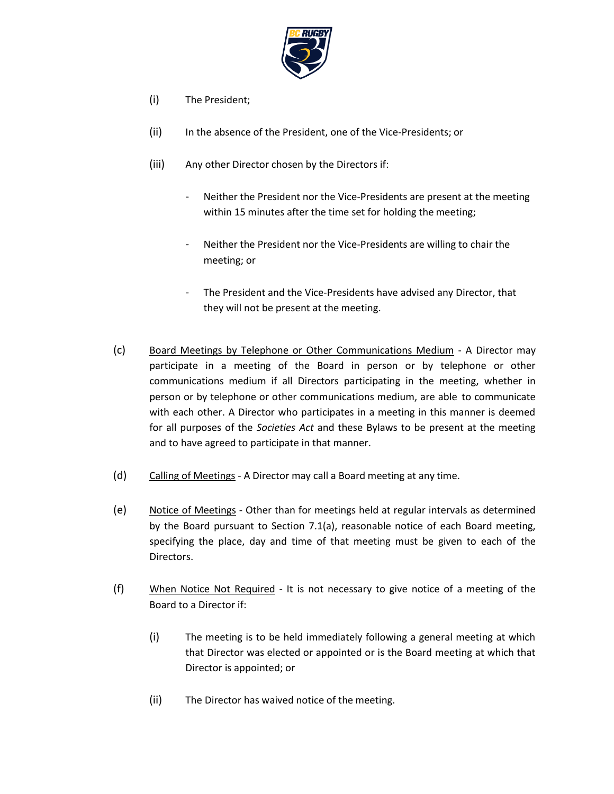

- (i) The President;
- (ii) In the absence of the President, one of the Vice-Presidents; or
- (iii) Any other Director chosen by the Directors if:
	- Neither the President nor the Vice-Presidents are present at the meeting within 15 minutes after the time set for holding the meeting;
	- Neither the President nor the Vice-Presidents are willing to chair the meeting; or
	- The President and the Vice-Presidents have advised any Director, that they will not be present at the meeting.
- (c) Board Meetings by Telephone or Other Communications Medium A Director may participate in a meeting of the Board in person or by telephone or other communications medium if all Directors participating in the meeting, whether in person or by telephone or other communications medium, are able to communicate with each other. A Director who participates in a meeting in this manner is deemed for all purposes of the *Societies Act* and these Bylaws to be present at the meeting and to have agreed to participate in that manner.
- (d) Calling of Meetings A Director may call a Board meeting at any time.
- (e) Notice of Meetings Other than for meetings held at regular intervals as determined by the Board pursuant to Section [7.1\(a\),](#page-27-1) reasonable notice of each Board meeting, specifying the place, day and time of that meeting must be given to each of the Directors.
- (f) When Notice Not Required It is not necessary to give notice of a meeting of the Board to a Director if:
	- (i) The meeting is to be held immediately following a general meeting at which that Director was elected or appointed or is the Board meeting at which that Director is appointed; or
	- (ii) The Director has waived notice of the meeting.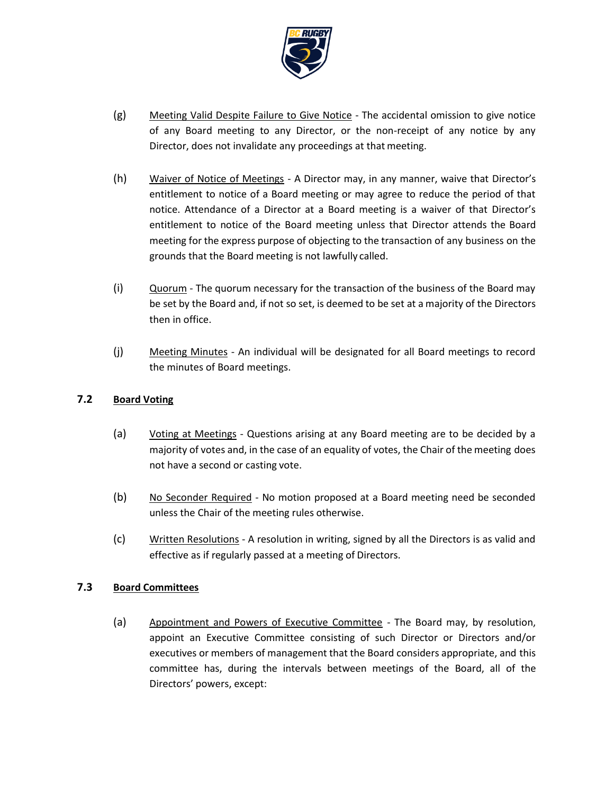

- (g) Meeting Valid Despite Failure to Give Notice The accidental omission to give notice of any Board meeting to any Director, or the non-receipt of any notice by any Director, does not invalidate any proceedings at that meeting.
- (h) Waiver of Notice of Meetings A Director may, in any manner, waive that Director's entitlement to notice of a Board meeting or may agree to reduce the period of that notice. Attendance of a Director at a Board meeting is a waiver of that Director's entitlement to notice of the Board meeting unless that Director attends the Board meeting for the express purpose of objecting to the transaction of any business on the grounds that the Board meeting is not lawfully called.
- (i) Quorum The quorum necessary for the transaction of the business of the Board may be set by the Board and, if not so set, is deemed to be set at a majority of the Directors then in office.
- (j) Meeting Minutes An individual will be designated for all Board meetings to record the minutes of Board meetings.

# **7.2 Board Voting**

- (a) Voting at Meetings Questions arising at any Board meeting are to be decided by a majority of votes and, in the case of an equality of votes, the Chair of the meeting does not have a second or casting vote.
- (b) No Seconder Required No motion proposed at a Board meeting need be seconded unless the Chair of the meeting rules otherwise.
- (c) Written Resolutions A resolution in writing, signed by all the Directors is as valid and effective as if regularly passed at a meeting of Directors.

# <span id="page-29-0"></span>**7.3 Board Committees**

(a) Appointment and Powers of Executive Committee - The Board may, by resolution, appoint an Executive Committee consisting of such Director or Directors and/or executives or members of management that the Board considers appropriate, and this committee has, during the intervals between meetings of the Board, all of the Directors' powers, except: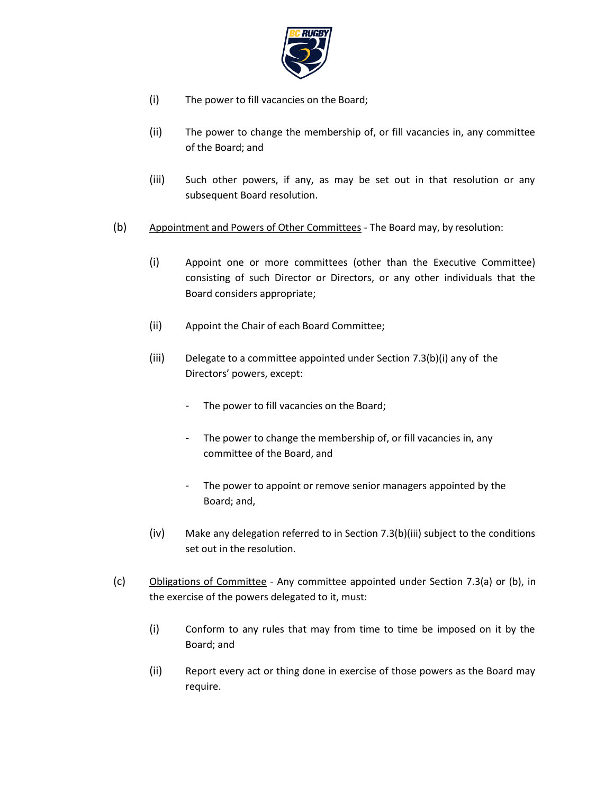

- (i) The power to fill vacancies on the Board;
- (ii) The power to change the membership of, or fill vacancies in, any committee of the Board; and
- (iii) Such other powers, if any, as may be set out in that resolution or any subsequent Board resolution.
- <span id="page-30-0"></span>(b) Appointment and Powers of Other Committees - The Board may, by resolution:
	- (i) Appoint one or more committees (other than the Executive Committee) consisting of such Director or Directors, or any other individuals that the Board considers appropriate;
	- (ii) Appoint the Chair of each Board Committee;
	- (iii) Delegate to a committee appointed under Section [7.3\(b\)\(](#page-30-0)i) any of the Directors' powers, except:
		- The power to fill vacancies on the Board;
		- The power to change the membership of, or fill vacancies in, any committee of the Board, and
		- The power to appoint or remove senior managers appointed by the Board; and,
	- (iv) Make any delegation referred to in Section 7.3(b)(iii) subject to the conditions set out in the resolution.
- <span id="page-30-1"></span>(c) Obligations of Committee - Any committee appointed under Section [7.3\(a\) o](#page-29-0)r [\(b\),](#page-30-0) in the exercise of the powers delegated to it, must:
	- (i) Conform to any rules that may from time to time be imposed on it by the Board; and
	- (ii) Report every act or thing done in exercise of those powers as the Board may require.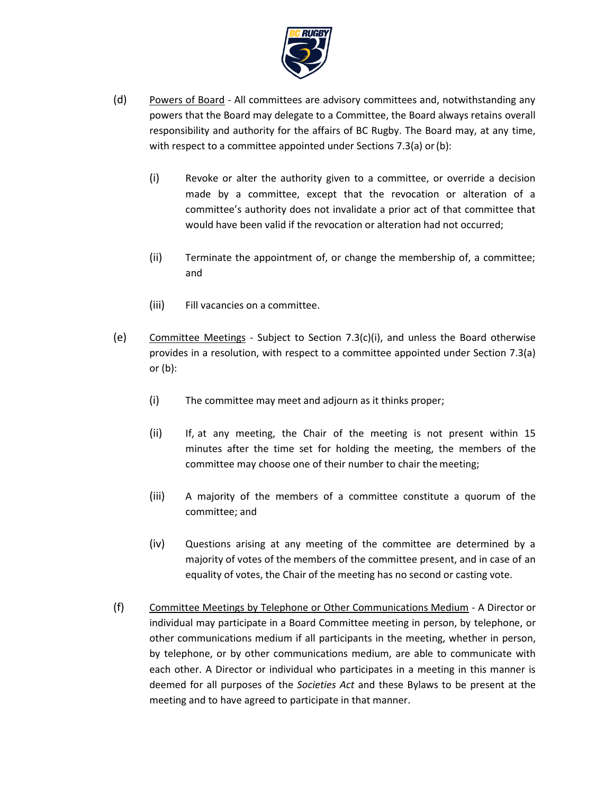

- (d) Powers of Board All committees are advisory committees and, notwithstanding any powers that the Board may delegate to a Committee, the Board always retains overall responsibility and authority for the affairs of BC Rugby. The Board may, at any time, with respect to a committee appointed under Section[s 7.3\(a\) o](#page-29-0)r (b):
	- (i) Revoke or alter the authority given to a committee, or override a decision made by a committee, except that the revocation or alteration of a committee's authority does not invalidate a prior act of that committee that would have been valid if the revocation or alteration had not occurred;
	- (ii) Terminate the appointment of, or change the membership of, a committee; and
	- (iii) Fill vacancies on a committee.
- (e) Committee Meetings Subject to Section [7.3\(c\)\(i\),](#page-30-1) and unless the Board otherwise provides in a resolution, with respect to a committee appointed under Section [7.3\(a\)](#page-29-0)  or [\(b\):](#page-30-0)
	- (i) The committee may meet and adjourn as it thinks proper;
	- (ii) If, at any meeting, the Chair of the meeting is not present within 15 minutes after the time set for holding the meeting, the members of the committee may choose one of their number to chair the meeting;
	- (iii) A majority of the members of a committee constitute a quorum of the committee; and
	- (iv) Questions arising at any meeting of the committee are determined by a majority of votes of the members of the committee present, and in case of an equality of votes, the Chair of the meeting has no second or casting vote.
- (f) Committee Meetings by Telephone or Other Communications Medium A Director or individual may participate in a Board Committee meeting in person, by telephone, or other communications medium if all participants in the meeting, whether in person, by telephone, or by other communications medium, are able to communicate with each other. A Director or individual who participates in a meeting in this manner is deemed for all purposes of the *Societies Act* and these Bylaws to be present at the meeting and to have agreed to participate in that manner.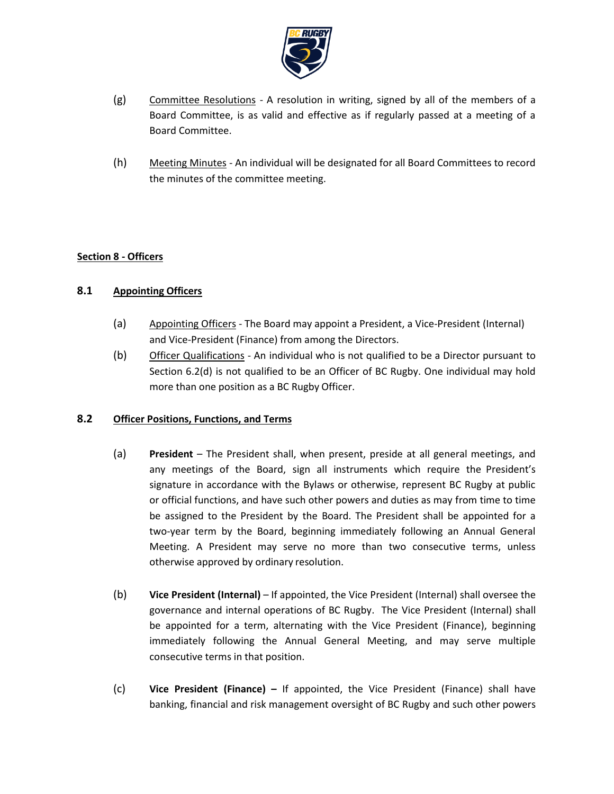

- (g) Committee Resolutions A resolution in writing, signed by all of the members of a Board Committee, is as valid and effective as if regularly passed at a meeting of a Board Committee.
- (h) Meeting Minutes An individual will be designated for all Board Committees to record the minutes of the committee meeting.

# **Section 8 - Officers**

# **8.1 Appointing Officers**

- (a) Appointing Officers The Board may appoint a President, a Vice-President (Internal) and Vice-President (Finance) from among the Directors.
- <span id="page-32-0"></span>(b) Officer Qualifications - An individual who is not qualified to be a Director pursuant to Section [6.2\(d\) i](#page-23-0)s not qualified to be an Officer of BC Rugby. One individual may hold more than one position as a BC Rugby Officer.

# **8.2 Officer Positions, Functions, and Terms**

- (a) **President**  The President shall, when present, preside at all general meetings, and any meetings of the Board, sign all instruments which require the President's signature in accordance with the Bylaws or otherwise, represent BC Rugby at public or official functions, and have such other powers and duties as may from time to time be assigned to the President by the Board. The President shall be appointed for a two-year term by the Board, beginning immediately following an Annual General Meeting. A President may serve no more than two consecutive terms, unless otherwise approved by ordinary resolution.
- (b) **Vice President (Internal)**  If appointed, the Vice President (Internal) shall oversee the governance and internal operations of BC Rugby. The Vice President (Internal) shall be appointed for a term, alternating with the Vice President (Finance), beginning immediately following the Annual General Meeting, and may serve multiple consecutive terms in that position.
- (c) **Vice President (Finance) –** If appointed, the Vice President (Finance) shall have banking, financial and risk management oversight of BC Rugby and such other powers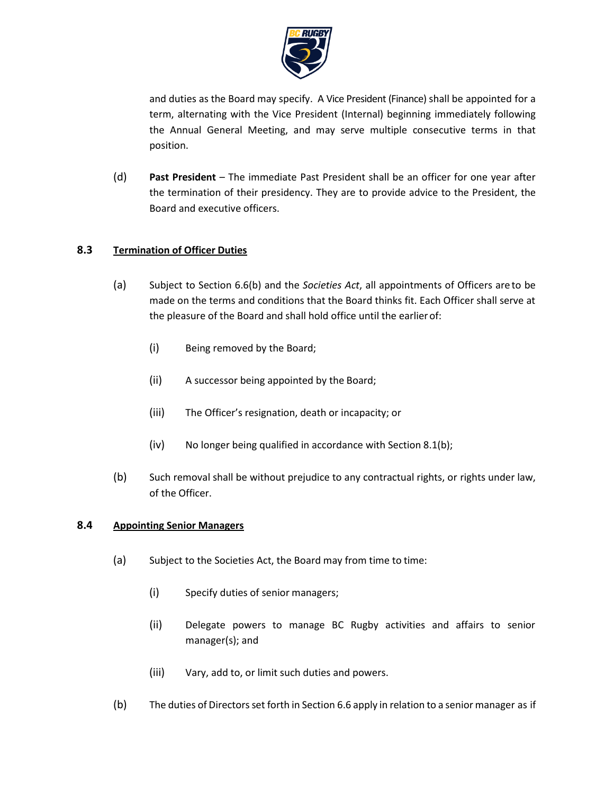

and duties as the Board may specify. A Vice President (Finance) shall be appointed for a term, alternating with the Vice President (Internal) beginning immediately following the Annual General Meeting, and may serve multiple consecutive terms in that position.

(d) **Past President** – The immediate Past President shall be an officer for one year after the termination of their presidency. They are to provide advice to the President, the Board and executive officers.

# **8.3 Termination of Officer Duties**

- (a) Subject to Section [6.6\(b\) a](#page-26-2)nd the *Societies Act*, all appointments of Officers are to be made on the terms and conditions that the Board thinks fit. Each Officer shall serve at the pleasure of the Board and shall hold office until the earlierof:
	- (i) Being removed by the Board;
	- (ii) A successor being appointed by the Board;
	- (iii) The Officer's resignation, death or incapacity; or
	- (iv) No longer being qualified in accordance with Section [8.1\(b\);](#page-32-0)
- (b) Such removal shall be without prejudice to any contractual rights, or rights under law, of the Officer.

#### **8.4 Appointing Senior Managers**

- (a) Subject to the Societies Act, the Board may from time to time:
	- (i) Specify duties of senior managers;
	- (ii) Delegate powers to manage BC Rugby activities and affairs to senior manager(s); and
	- (iii) Vary, add to, or limit such duties and powers.
- (b) The duties of Directorsset forth in Section [6.6](#page-25-1) apply in relation to a senior manager as if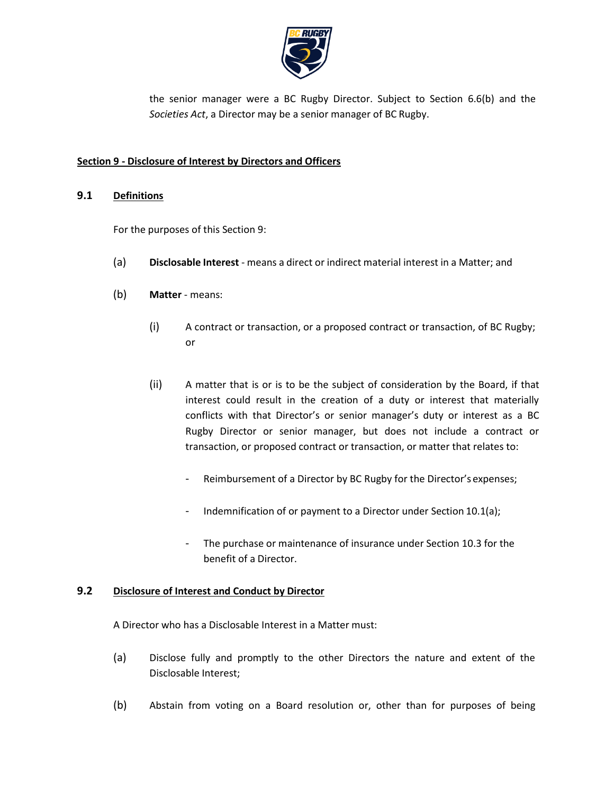

the senior manager were a BC Rugby Director. Subject to Section [6.6\(b\) a](#page-26-2)nd the *Societies Act*, a Director may be a senior manager of BC Rugby.

### <span id="page-34-0"></span>**Section 9 - Disclosure of Interest by Directors and Officers**

### **9.1 Definitions**

For the purposes of thi[s Section 9:](#page-34-0)

- (a) **Disclosable Interest** means a direct or indirect material interest in a Matter; and
- (b) **Matter**  means:
	- (i) A contract or transaction, or a proposed contract or transaction, of BC Rugby; or
	- (ii) A matter that is or is to be the subject of consideration by the Board, if that interest could result in the creation of a duty or interest that materially conflicts with that Director's or senior manager's duty or interest as a BC Rugby Director or senior manager, but does not include a contract or transaction, or proposed contract or transaction, or matter that relates to:
		- Reimbursement of a Director by BC Rugby for the Director's expenses;
		- Indemnification of or payment to a Director under Section [10.1\(a\);](#page-36-0)
		- The purchase or maintenance of insurance under Sectio[n 10.3 f](#page-38-0)or the benefit of a Director.

#### <span id="page-34-1"></span>**9.2 Disclosure of Interest and Conduct by Director**

A Director who has a Disclosable Interest in a Matter must:

- (a) Disclose fully and promptly to the other Directors the nature and extent of the Disclosable Interest;
- (b) Abstain from voting on a Board resolution or, other than for purposes of being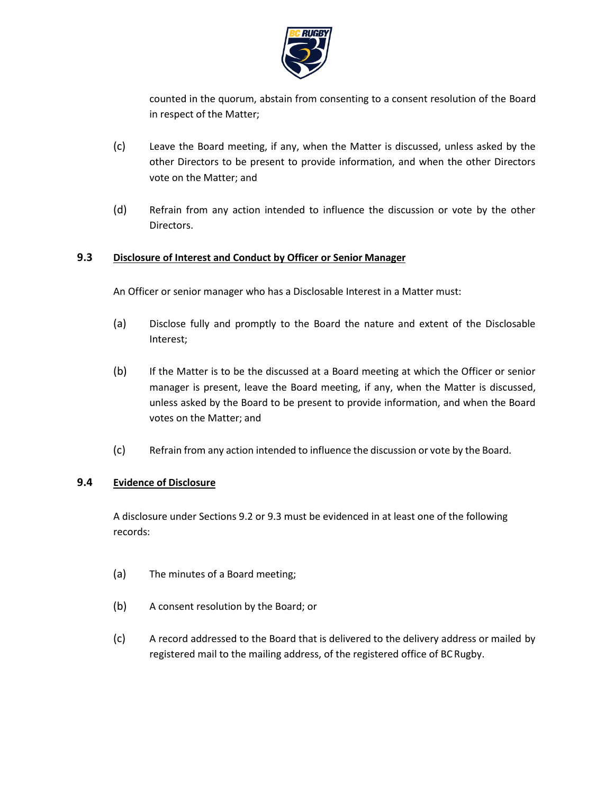

counted in the quorum, abstain from consenting to a consent resolution of the Board in respect of the Matter;

- (c) Leave the Board meeting, if any, when the Matter is discussed, unless asked by the other Directors to be present to provide information, and when the other Directors vote on the Matter; and
- (d) Refrain from any action intended to influence the discussion or vote by the other Directors.

### <span id="page-35-0"></span>**9.3 Disclosure of Interest and Conduct by Officer or Senior Manager**

- An Officer or senior manager who has a Disclosable Interest in a Matter must:
- (a) Disclose fully and promptly to the Board the nature and extent of the Disclosable Interest;
- (b) If the Matter is to be the discussed at a Board meeting at which the Officer or senior manager is present, leave the Board meeting, if any, when the Matter is discussed, unless asked by the Board to be present to provide information, and when the Board votes on the Matter; and
- (c) Refrain from any action intended to influence the discussion or vote by the Board.

#### <span id="page-35-1"></span>**9.4 Evidence of Disclosure**

A disclosure under Sections [9.2 o](#page-34-1)[r 9.3 m](#page-35-0)ust be evidenced in at least one of the following records:

- (a) The minutes of a Board meeting;
- (b) A consent resolution by the Board; or
- (c) A record addressed to the Board that is delivered to the delivery address or mailed by registered mail to the mailing address, of the registered office of BC Rugby.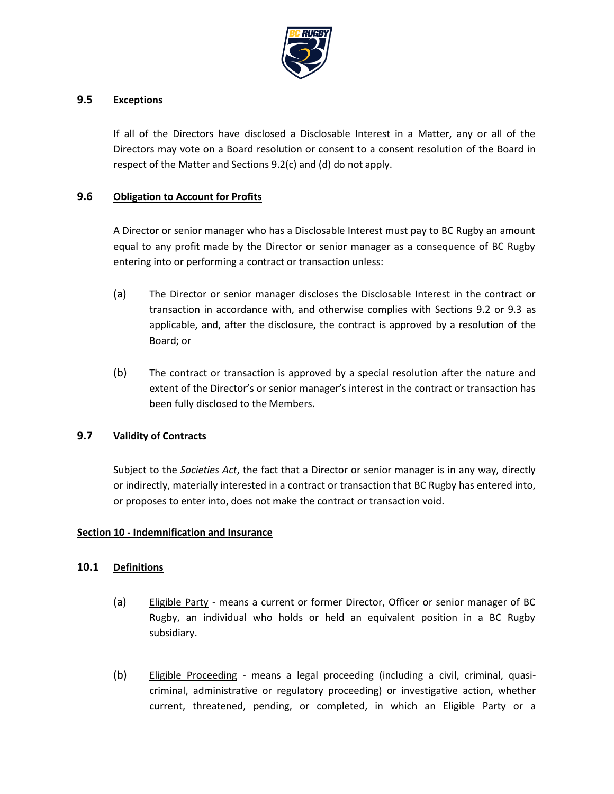

#### **9.5 Exceptions**

If all of the Directors have disclosed a Disclosable Interest in a Matter, any or all of the Directors may vote on a Board resolution or consent to a consent resolution of the Board in respect of the Matter and Sections 9.2(c) and (d) do not apply.

#### **9.6 Obligation to Account for Profits**

A Director or senior manager who has a Disclosable Interest must pay to BC Rugby an amount equal to any profit made by the Director or senior manager as a consequence of BC Rugby entering into or performing a contract or transaction unless:

- (a) The Director or senior manager discloses the Disclosable Interest in the contract or transaction in accordance with, and otherwise complies with Sections [9.2](#page-34-1) or [9.3](#page-35-0) as applicable, and, after the disclosure, the contract is approved by a resolution of the Board; or
- (b) The contract or transaction is approved by a special resolution after the nature and extent of the Director's or senior manager's interest in the contract or transaction has been fully disclosed to the Members.

# **9.7 Validity of Contracts**

Subject to the *Societies Act*, the fact that a Director or senior manager is in any way, directly or indirectly, materially interested in a contract or transaction that BC Rugby has entered into, or proposes to enter into, does not make the contract or transaction void.

#### **Section 10 - Indemnification and Insurance**

#### <span id="page-36-0"></span>**10.1 Definitions**

- (a) Eligible Party means a current or former Director, Officer or senior manager of BC Rugby, an individual who holds or held an equivalent position in a BC Rugby subsidiary.
- (b) Eligible Proceeding means a legal proceeding (including a civil, criminal, quasicriminal, administrative or regulatory proceeding) or investigative action, whether current, threatened, pending, or completed, in which an Eligible Party or a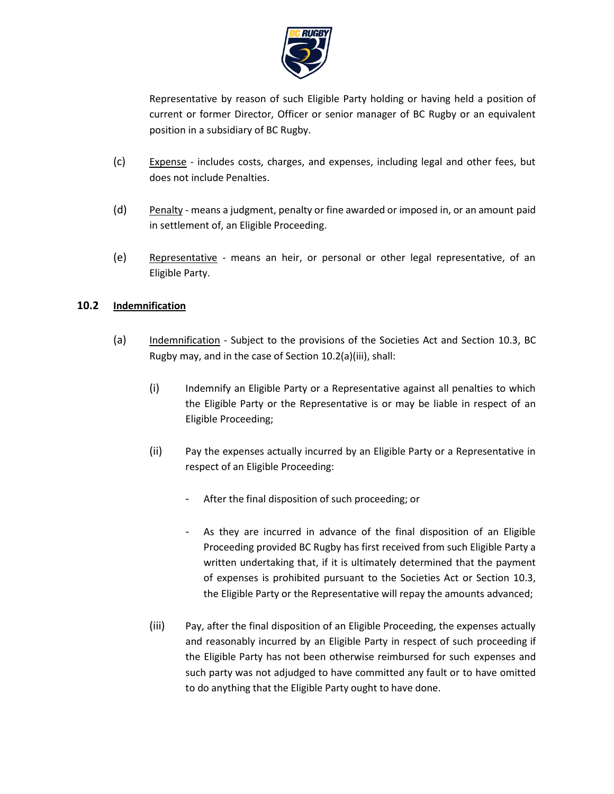

Representative by reason of such Eligible Party holding or having held a position of current or former Director, Officer or senior manager of BC Rugby or an equivalent position in a subsidiary of BC Rugby.

- (c) Expense includes costs, charges, and expenses, including legal and other fees, but does not include Penalties.
- $(d)$  Penalty means a judgment, penalty or fine awarded or imposed in, or an amount paid in settlement of, an Eligible Proceeding.
- (e) Representative means an heir, or personal or other legal representative, of an Eligible Party.

# **10.2 Indemnification**

- <span id="page-37-0"></span>(a) Indemnification - Subject to the provisions of the Societies Act and Section [10.3,](#page-38-0) BC Rugby may, and in the case of Section [10.2\(a\)\(iii\),](#page-37-0) shall:
	- (i) Indemnify an Eligible Party or a Representative against all penalties to which the Eligible Party or the Representative is or may be liable in respect of an Eligible Proceeding;
	- (ii) Pay the expenses actually incurred by an Eligible Party or a Representative in respect of an Eligible Proceeding:
		- After the final disposition of such proceeding; or
		- As they are incurred in advance of the final disposition of an Eligible Proceeding provided BC Rugby has first received from such Eligible Party a written undertaking that, if it is ultimately determined that the payment of expenses is prohibited pursuant to the Societies Act or Section [10.3,](#page-38-0) the Eligible Party or the Representative will repay the amounts advanced;
	- (iii) Pay, after the final disposition of an Eligible Proceeding, the expenses actually and reasonably incurred by an Eligible Party in respect of such proceeding if the Eligible Party has not been otherwise reimbursed for such expenses and such party was not adjudged to have committed any fault or to have omitted to do anything that the Eligible Party ought to have done.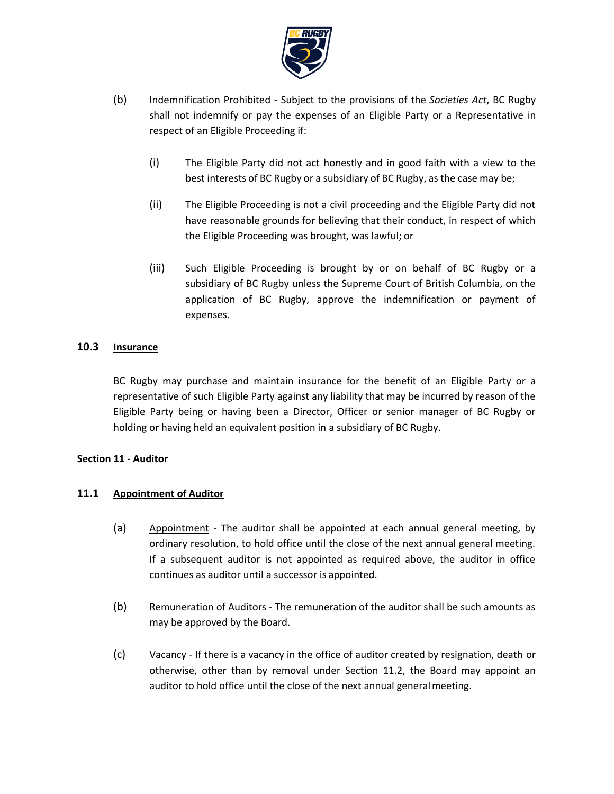

- (b) Indemnification Prohibited Subject to the provisions of the *Societies Act*, BC Rugby shall not indemnify or pay the expenses of an Eligible Party or a Representative in respect of an Eligible Proceeding if:
	- (i) The Eligible Party did not act honestly and in good faith with a view to the best interests of BC Rugby or a subsidiary of BC Rugby, as the case may be;
	- (ii) The Eligible Proceeding is not a civil proceeding and the Eligible Party did not have reasonable grounds for believing that their conduct, in respect of which the Eligible Proceeding was brought, was lawful; or
	- (iii) Such Eligible Proceeding is brought by or on behalf of BC Rugby or a subsidiary of BC Rugby unless the Supreme Court of British Columbia, on the application of BC Rugby, approve the indemnification or payment of expenses.

### <span id="page-38-0"></span>**10.3 Insurance**

BC Rugby may purchase and maintain insurance for the benefit of an Eligible Party or a representative of such Eligible Party against any liability that may be incurred by reason of the Eligible Party being or having been a Director, Officer or senior manager of BC Rugby or holding or having held an equivalent position in a subsidiary of BC Rugby.

#### **Section 11 - Auditor**

# **11.1 Appointment of Auditor**

- (a) Appointment The auditor shall be appointed at each annual general meeting, by ordinary resolution, to hold office until the close of the next annual general meeting. If a subsequent auditor is not appointed as required above, the auditor in office continues as auditor until a successor is appointed.
- (b) Remuneration of Auditors The remuneration of the auditor shall be such amounts as may be approved by the Board.
- $(c)$  Vacancy If there is a vacancy in the office of auditor created by resignation, death or otherwise, other than by removal under Section [11.2,](#page-39-0) the Board may appoint an auditor to hold office until the close of the next annual general meeting.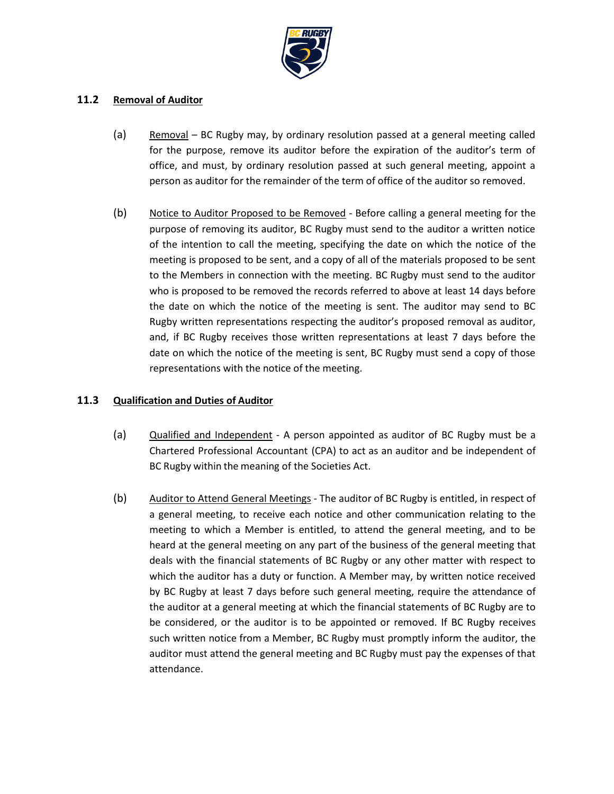

### <span id="page-39-0"></span>**11.2 Removal of Auditor**

- (a) Removal BC Rugby may, by ordinary resolution passed at a general meeting called for the purpose, remove its auditor before the expiration of the auditor's term of office, and must, by ordinary resolution passed at such general meeting, appoint a person as auditor for the remainder of the term of office of the auditor so removed.
- (b) Notice to Auditor Proposed to be Removed Before calling a general meeting for the purpose of removing its auditor, BC Rugby must send to the auditor a written notice of the intention to call the meeting, specifying the date on which the notice of the meeting is proposed to be sent, and a copy of all of the materials proposed to be sent to the Members in connection with the meeting. BC Rugby must send to the auditor who is proposed to be removed the records referred to above at least 14 days before the date on which the notice of the meeting is sent. The auditor may send to BC Rugby written representations respecting the auditor's proposed removal as auditor, and, if BC Rugby receives those written representations at least 7 days before the date on which the notice of the meeting is sent, BC Rugby must send a copy of those representations with the notice of the meeting.

# **11.3 Qualification and Duties of Auditor**

- (a) Qualified and Independent A person appointed as auditor of BC Rugby must be a Chartered Professional Accountant (CPA) to act as an auditor and be independent of BC Rugby within the meaning of the Societies Act.
- (b) Auditor to Attend General Meetings The auditor of BC Rugby is entitled, in respect of a general meeting, to receive each notice and other communication relating to the meeting to which a Member is entitled, to attend the general meeting, and to be heard at the general meeting on any part of the business of the general meeting that deals with the financial statements of BC Rugby or any other matter with respect to which the auditor has a duty or function. A Member may, by written notice received by BC Rugby at least 7 days before such general meeting, require the attendance of the auditor at a general meeting at which the financial statements of BC Rugby are to be considered, or the auditor is to be appointed or removed. If BC Rugby receives such written notice from a Member, BC Rugby must promptly inform the auditor, the auditor must attend the general meeting and BC Rugby must pay the expenses of that attendance.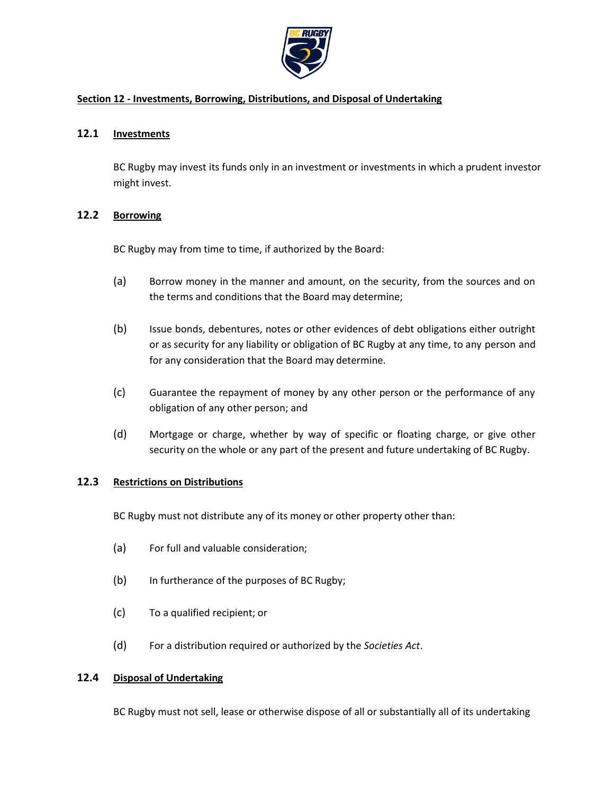

### **Section 12 - Investments, Borrowing, Distributions, and Disposal of Undertaking**

### **12.1 Investments**

BC Rugby may invest its funds only in an investment or investments in which a prudent investor might invest.

### **12.2 Borrowing**

BC Rugby may from time to time, if authorized by the Board:

- (a) Borrow money in the manner and amount, on the security, from the sources and on the terms and conditions that the Board may determine;
- (b) Issue bonds, debentures, notes or other evidences of debt obligations either outright or as security for any liability or obligation of BC Rugby at any time, to any person and for any consideration that the Board may determine.
- (c) Guarantee the repayment of money by any other person or the performance of any obligation of any other person; and
- (d) Mortgage or charge, whether by way of specific or floating charge, or give other security on the whole or any part of the present and future undertaking of BC Rugby.

#### **12.3 Restrictions on Distributions**

BC Rugby must not distribute any of its money or other property other than:

- (a) For full and valuable consideration;
- (b) In furtherance of the purposes of BC Rugby;
- (c) To a qualified recipient; or
- (d) For a distribution required or authorized by the *Societies Act*.

#### **12.4 Disposal of Undertaking**

BC Rugby must not sell, lease or otherwise dispose of all or substantially all of its undertaking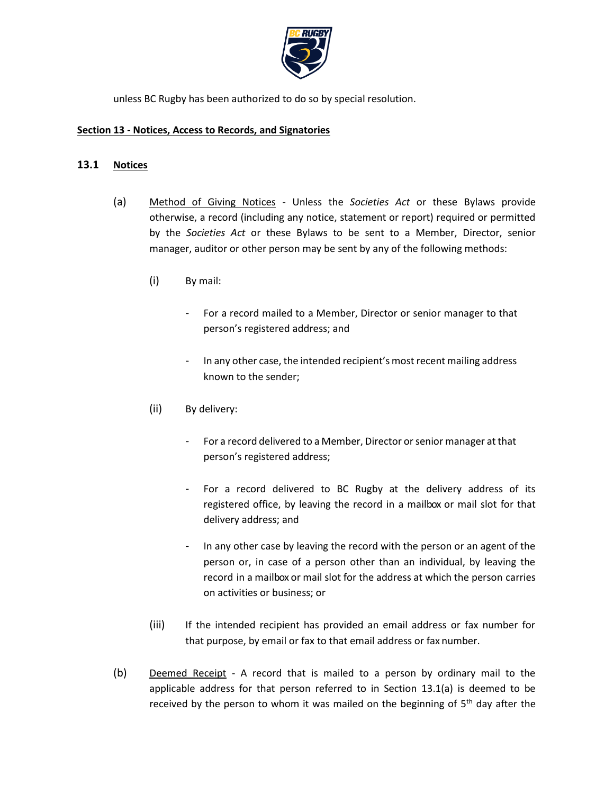

unless BC Rugby has been authorized to do so by special resolution.

### **Section 13 - Notices, Access to Records, and Signatories**

### **13.1 Notices**

- (a) Method of Giving Notices Unless the *Societies Act* or these Bylaws provide otherwise, a record (including any notice, statement or report) required or permitted by the *Societies Act* or these Bylaws to be sent to a Member, Director, senior manager, auditor or other person may be sent by any of the following methods:
	- (i) By mail:
		- For a record mailed to a Member, Director or senior manager to that person's registered address; and
		- In any other case, the intended recipient's most recent mailing address known to the sender;
	- (ii) By delivery:
		- For a record delivered to a Member, Director or senior manager at that person's registered address;
		- For a record delivered to BC Rugby at the delivery address of its registered office, by leaving the record in a mailbox or mail slot for that delivery address; and
		- In any other case by leaving the record with the person or an agent of the person or, in case of a person other than an individual, by leaving the record in a mailbox or mail slot for the address at which the person carries on activities or business; or
	- (iii) If the intended recipient has provided an email address or fax number for that purpose, by email or fax to that email address or fax number.
- (b) Deemed Receipt A record that is mailed to a person by ordinary mail to the applicable address for that person referred to in Section 13.1(a) is deemed to be received by the person to whom it was mailed on the beginning of  $5<sup>th</sup>$  day after the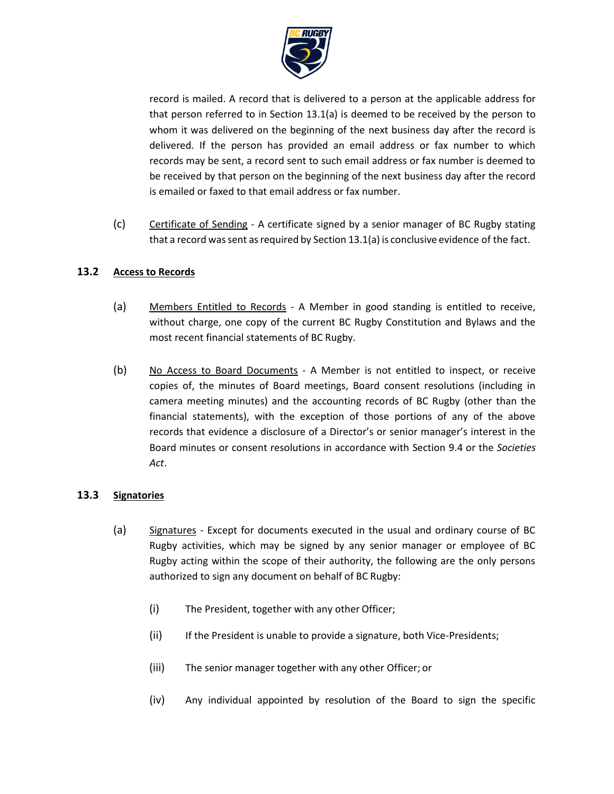

record is mailed. A record that is delivered to a person at the applicable address for that person referred to in Section 13.1(a) is deemed to be received by the person to whom it was delivered on the beginning of the next business day after the record is delivered. If the person has provided an email address or fax number to which records may be sent, a record sent to such email address or fax number is deemed to be received by that person on the beginning of the next business day after the record is emailed or faxed to that email address or fax number.

(c) Certificate of Sending - A certificate signed by a senior manager of BC Rugby stating that a record was sent as required by Section  $13.1(a)$  is conclusive evidence of the fact.

# **13.2 Access to Records**

- (a) Members Entitled to Records A Member in good standing is entitled to receive, without charge, one copy of the current BC Rugby Constitution and Bylaws and the most recent financial statements of BC Rugby.
- (b) No Access to Board Documents A Member is not entitled to inspect, or receive copies of, the minutes of Board meetings, Board consent resolutions (including in camera meeting minutes) and the accounting records of BC Rugby (other than the financial statements), with the exception of those portions of any of the above records that evidence a disclosure of a Director's or senior manager's interest in the Board minutes or consent resolutions in accordance with Section [9.4 o](#page-35-1)r the *Societies Act*.

#### **13.3 Signatories**

- (a) Signatures Except for documents executed in the usual and ordinary course of BC Rugby activities, which may be signed by any senior manager or employee of BC Rugby acting within the scope of their authority, the following are the only persons authorized to sign any document on behalf of BC Rugby:
	- (i) The President, together with any other Officer;
	- (ii) If the President is unable to provide a signature, both Vice-Presidents;
	- (iii) The senior manager together with any other Officer; or
	- (iv) Any individual appointed by resolution of the Board to sign the specific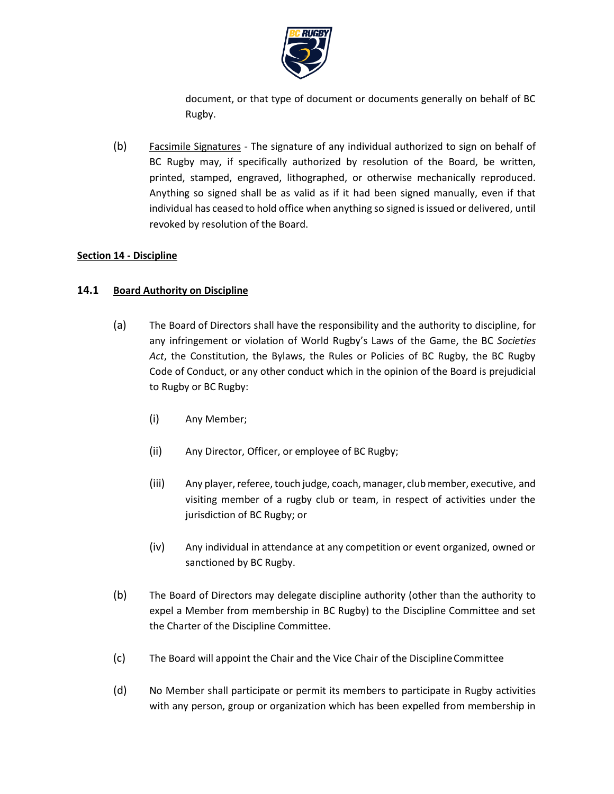

document, or that type of document or documents generally on behalf of BC Rugby.

(b) Facsimile Signatures - The signature of any individual authorized to sign on behalf of BC Rugby may, if specifically authorized by resolution of the Board, be written, printed, stamped, engraved, lithographed, or otherwise mechanically reproduced. Anything so signed shall be as valid as if it had been signed manually, even if that individual has ceased to hold office when anything so signed isissued or delivered, until revoked by resolution of the Board.

### **Section 14 - Discipline**

### **14.1 Board Authority on Discipline**

- (a) The Board of Directors shall have the responsibility and the authority to discipline, for any infringement or violation of World Rugby's Laws of the Game, the BC *Societies Act*, the Constitution, the Bylaws, the Rules or Policies of BC Rugby, the BC Rugby Code of Conduct, or any other conduct which in the opinion of the Board is prejudicial to Rugby or BC Rugby:
	- (i) Any Member;
	- (ii) Any Director, Officer, or employee of BC Rugby;
	- (iii) Any player, referee, touch judge, coach, manager, club member, executive, and visiting member of a rugby club or team, in respect of activities under the jurisdiction of BC Rugby; or
	- (iv) Any individual in attendance at any competition or event organized, owned or sanctioned by BC Rugby.
- (b) The Board of Directors may delegate discipline authority (other than the authority to expel a Member from membership in BC Rugby) to the Discipline Committee and set the Charter of the Discipline Committee.
- (c) The Board will appoint the Chair and the Vice Chair of the DisciplineCommittee
- (d) No Member shall participate or permit its members to participate in Rugby activities with any person, group or organization which has been expelled from membership in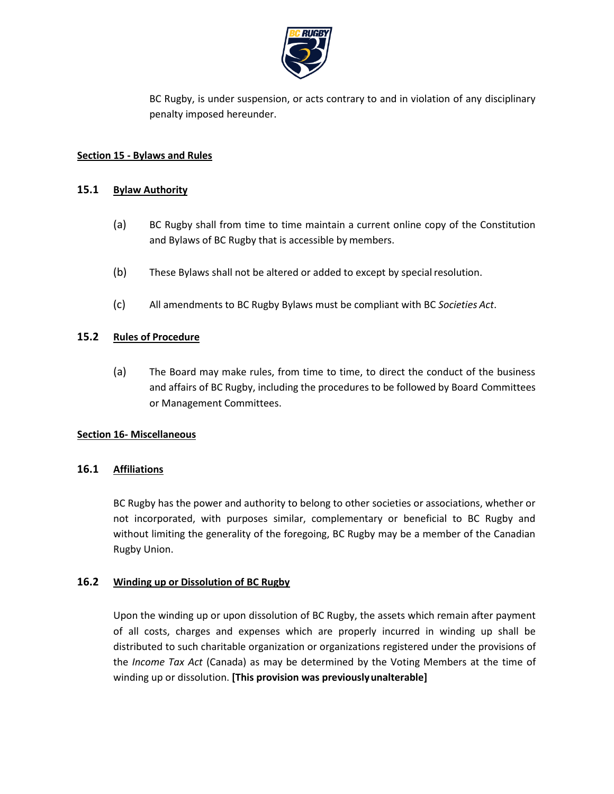

BC Rugby, is under suspension, or acts contrary to and in violation of any disciplinary penalty imposed hereunder.

### **Section 15 - Bylaws and Rules**

### **15.1 Bylaw Authority**

- (a) BC Rugby shall from time to time maintain a current online copy of the Constitution and Bylaws of BC Rugby that is accessible by members.
- (b) These Bylaws shall not be altered or added to except by special resolution.
- (c) All amendments to BC Rugby Bylaws must be compliant with BC *Societies Act*.

### **15.2 Rules of Procedure**

(a) The Board may make rules, from time to time, to direct the conduct of the business and affairs of BC Rugby, including the procedures to be followed by Board Committees or Management Committees.

#### **Section 16- Miscellaneous**

# **16.1 Affiliations**

BC Rugby has the power and authority to belong to other societies or associations, whether or not incorporated, with purposes similar, complementary or beneficial to BC Rugby and without limiting the generality of the foregoing, BC Rugby may be a member of the Canadian Rugby Union.

#### **16.2 Winding up or Dissolution of BC Rugby**

Upon the winding up or upon dissolution of BC Rugby, the assets which remain after payment of all costs, charges and expenses which are properly incurred in winding up shall be distributed to such charitable organization or organizations registered under the provisions of the *Income Tax Act* (Canada) as may be determined by the Voting Members at the time of winding up or dissolution. **[This provision was previouslyunalterable]**